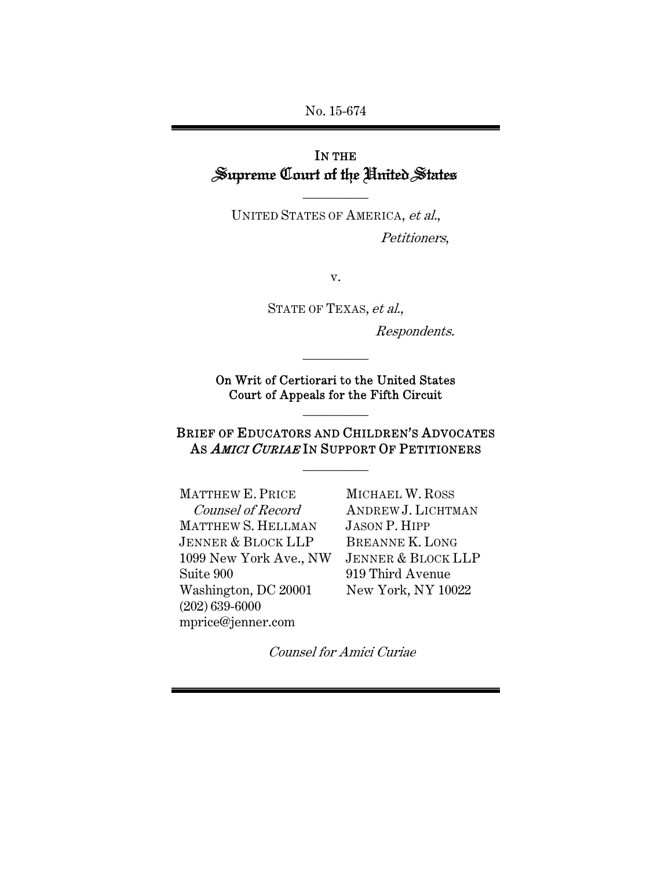No. 15-674

# IN THE Supreme Court of the United States

UNITED STATES OF AMERICA, et al., Petitioners,

\_\_\_\_\_\_\_\_\_\_

v.

STATE OF TEXAS, et al.,

Respondents.

On Writ of Certiorari to the United States Court of Appeals for the Fifth Circuit

\_\_\_\_\_\_\_\_\_\_

\_\_\_\_\_\_\_\_\_\_

# BRIEF OF EDUCATORS AND CHILDREN'S ADVOCATES AS AMICI CURIAE IN SUPPORT OF PETITIONERS

\_\_\_\_\_\_\_\_\_\_

MATTHEW E. PRICE Counsel of Record MATTHEW S. HELLMAN JENNER & BLOCK LLP 1099 New York Ave., NW Suite 900 Washington, DC 20001 (202) 639-6000 mprice@jenner.com

MICHAEL W. ROSS ANDREW J. LICHTMAN JASON P. HIPP BREANNE K. LONG JENNER & BLOCK LLP 919 Third Avenue New York, NY 10022

Counsel for Amici Curiae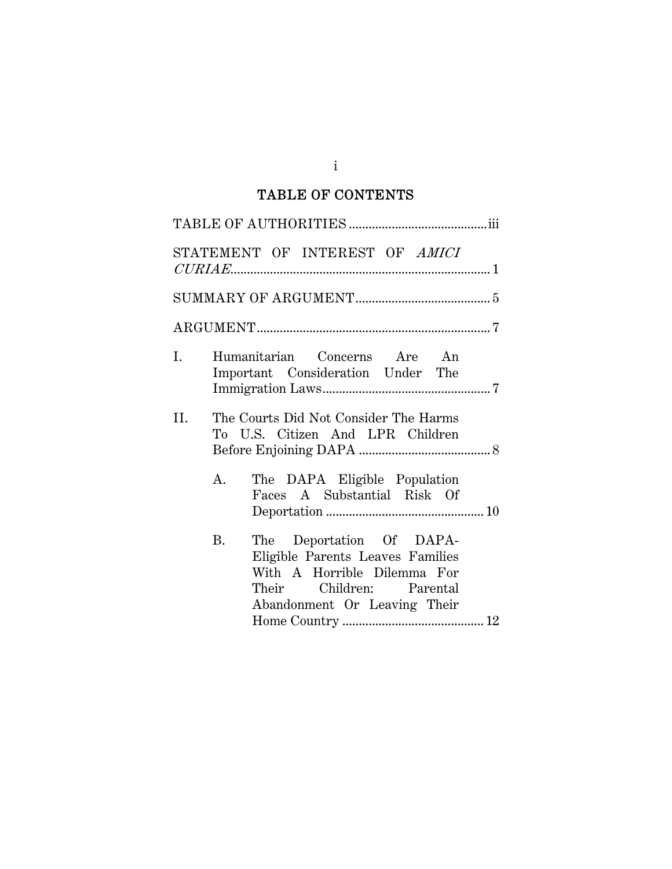# TABLE OF CONTENTS

|                | STATEMENT OF INTEREST OF AMICI                                                                                                                                       |
|----------------|----------------------------------------------------------------------------------------------------------------------------------------------------------------------|
|                |                                                                                                                                                                      |
|                |                                                                                                                                                                      |
| $\mathbf{I}$ . | Humanitarian Concerns Are An<br>Important Consideration Under The                                                                                                    |
| II.            | The Courts Did Not Consider The Harms<br>To U.S. Citizen And LPR Children                                                                                            |
|                | The DAPA Eligible Population<br>A.<br>Faces A Substantial Risk Of                                                                                                    |
|                | <b>B.</b><br>The Deportation Of DAPA-<br>Eligible Parents Leaves Families<br>With A Horrible Dilemma For<br>Their Children: Parental<br>Abandonment Or Leaving Their |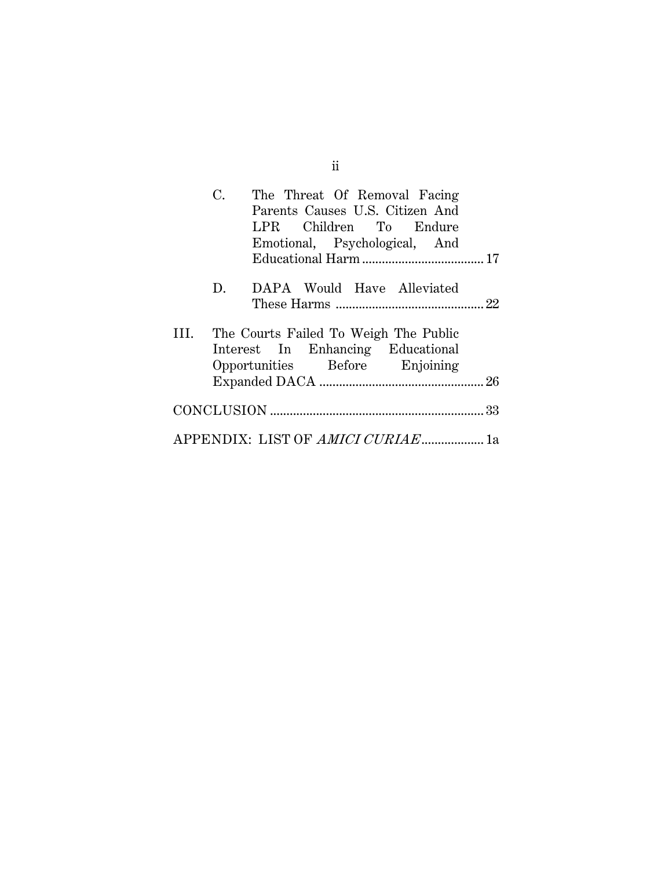|    | C. | The Threat Of Removal Facing<br>Parents Causes U.S. Citizen And<br>LPR Children To Endure<br>Emotional, Psychological, And |  |
|----|----|----------------------------------------------------------------------------------------------------------------------------|--|
|    |    |                                                                                                                            |  |
|    | D. | DAPA Would Have Alleviated                                                                                                 |  |
| Ш. |    | The Courts Failed To Weigh The Public                                                                                      |  |
|    |    | Interest In Enhancing Educational                                                                                          |  |
|    |    | Opportunities Before Enjoining                                                                                             |  |
|    |    |                                                                                                                            |  |
|    |    | APPENDIX: LIST OF AMICI CURIAE1a                                                                                           |  |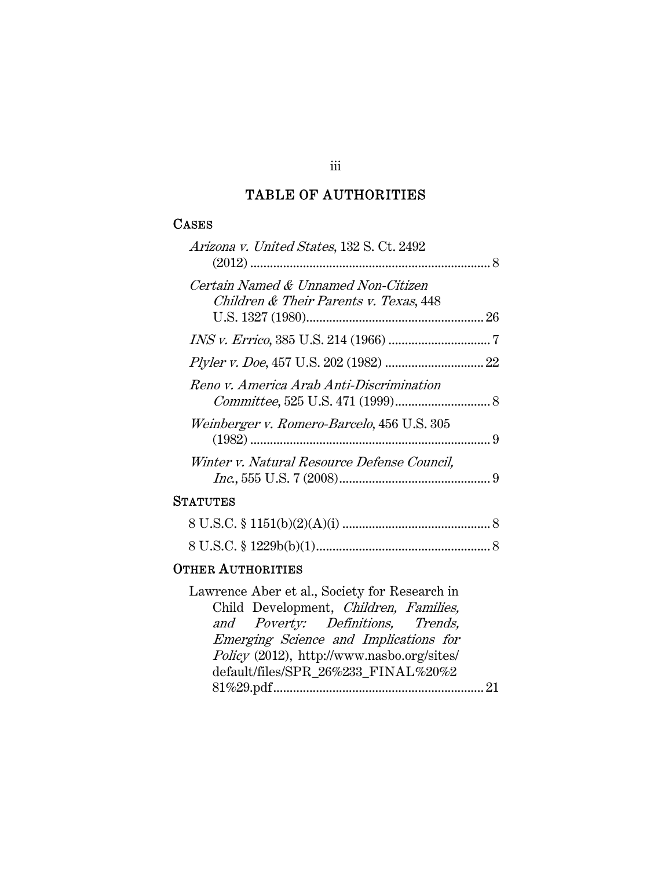# TABLE OF AUTHORITIES

## **CASES**

| Arizona v. United States, 132 S. Ct. 2492                                     |
|-------------------------------------------------------------------------------|
| Certain Named & Unnamed Non-Citizen<br>Children & Their Parents v. Texas, 448 |
|                                                                               |
|                                                                               |
| Reno v. America Arab Anti-Discrimination                                      |
| <i>Weinberger v. Romero-Barcelo</i> , 456 U.S. 305                            |
| Winter v. Natural Resource Defense Council,                                   |
| <b>STATUTES</b>                                                               |
|                                                                               |
|                                                                               |
| <b>OTHER AUTHORITIES</b>                                                      |

Lawrence Aber et al., Society for Research in Child Development, Children, Families, and Poverty: Definitions, Trends, Emerging Science and Implications for Policy (2012), http://www.nasbo.org/sites/ default/files/SPR\_26%233\_FINAL%20%2 81%29.pdf ................................................................ 21

iii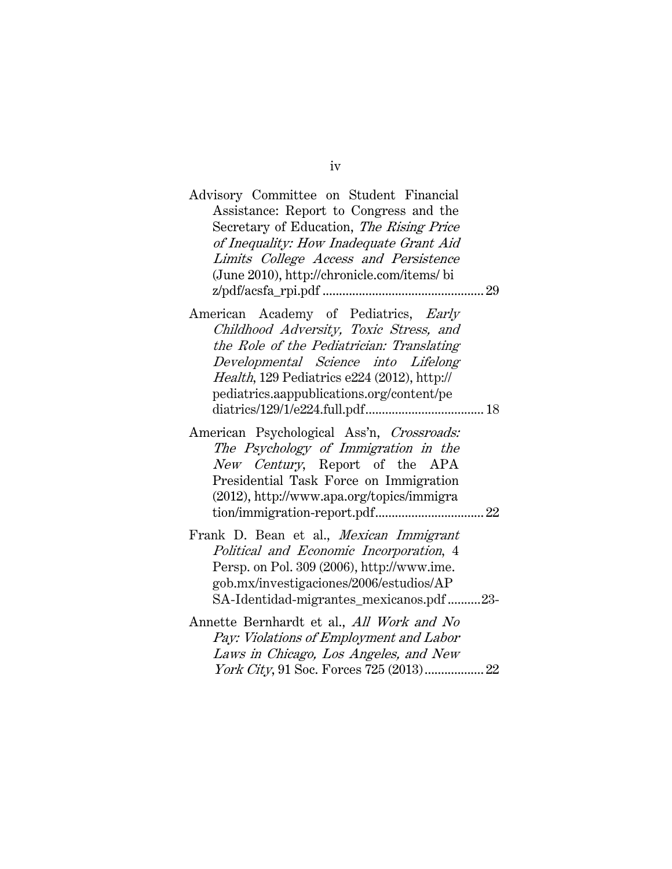| Advisory Committee on Student Financial<br>Assistance: Report to Congress and the<br>Secretary of Education, The Rising Price<br>of Inequality: How Inadequate Grant Aid<br>Limits College Access and Persistence<br>(June 2010), http://chronicle.com/items/ bi |
|------------------------------------------------------------------------------------------------------------------------------------------------------------------------------------------------------------------------------------------------------------------|
| American Academy of Pediatrics, Early<br>Childhood Adversity, Toxic Stress, and<br>the Role of the Pediatrician: Translating<br>Developmental Science into Lifelong<br>Health, 129 Pediatrics e224 (2012), http://<br>pediatrics.aappublications.org/content/pe  |
| American Psychological Ass'n, Crossroads:<br>The Psychology of Immigration in the<br>New Century, Report of the APA<br>Presidential Task Force on Immigration<br>(2012), http://www.apa.org/topics/immigra                                                       |
| Frank D. Bean et al., <i>Mexican Immigrant</i><br>Political and Economic Incorporation, 4<br>Persp. on Pol. 309 (2006), http://www.ime.<br>gob.mx/investigaciones/2006/estudios/AP<br>SA-Identidad-migrantes_mexicanos.pdf23-                                    |
| Annette Bernhardt et al., All Work and No<br>Pay: Violations of Employment and Labor<br>Laws in Chicago, Los Angeles, and New                                                                                                                                    |

iv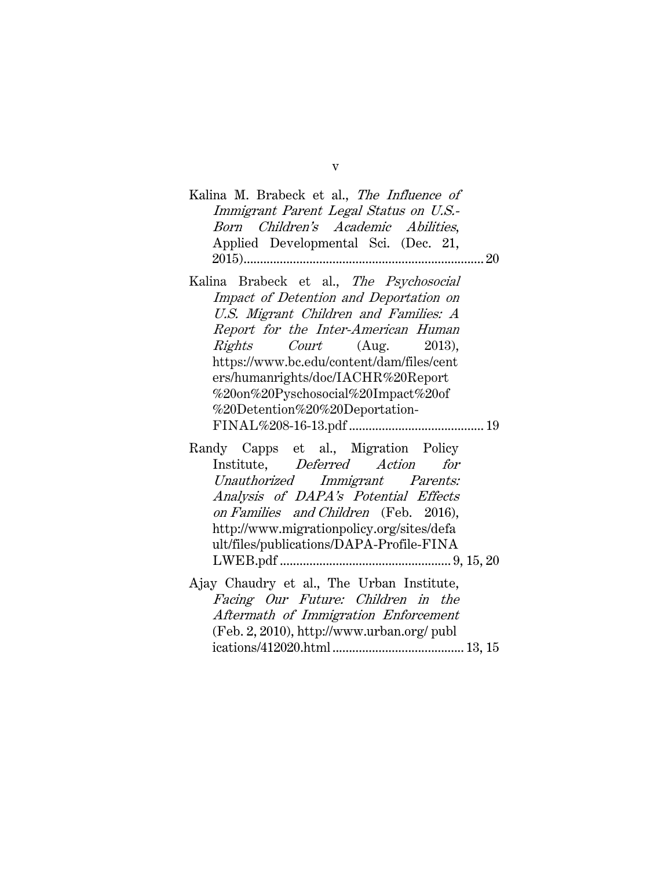| Kalina M. Brabeck et al., The Influence of<br>Immigrant Parent Legal Status on U.S.-<br>Born Children's Academic Abilities,<br>Applied Developmental Sci. (Dec. 21,                                                                                                                                                                                              |
|------------------------------------------------------------------------------------------------------------------------------------------------------------------------------------------------------------------------------------------------------------------------------------------------------------------------------------------------------------------|
| Kalina Brabeck et al., The Psychosocial<br>Impact of Detention and Deportation on<br>U.S. Migrant Children and Families: A<br>Report for the Inter-American Human<br><i>Rights Court</i> (Aug. 2013),<br>https://www.bc.edu/content/dam/files/cent<br>ers/humanrights/doc/IACHR%20Report<br>%20on%20Pyschosocial%20Impact%20of<br>%20Detention%20%20Deportation- |
| Randy Capps et al., Migration Policy<br>Institute, Deferred Action for<br>Unauthorized Immigrant Parents:<br>Analysis of DAPA's Potential Effects<br>on Families and Children (Feb. 2016),<br>http://www.migrationpolicy.org/sites/defa<br>ult/files/publications/DAPA-Profile-FINA                                                                              |
| Ajay Chaudry et al., The Urban Institute,<br>Facing Our Future: Children in the<br>Aftermath of Immigration Enforcement<br>(Feb. 2, 2010), http://www.urban.org/ publ                                                                                                                                                                                            |

v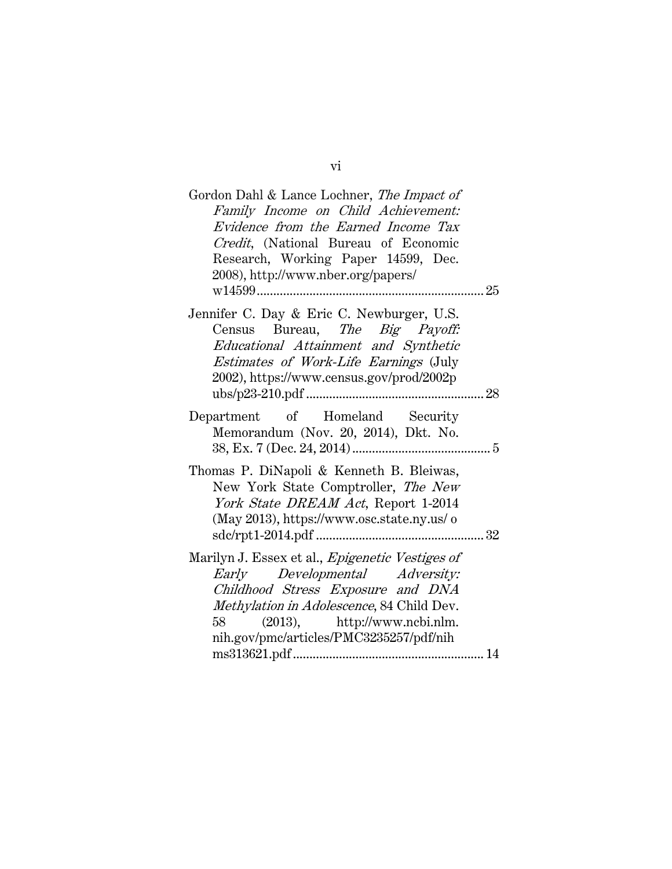| Gordon Dahl & Lance Lochner, The Impact of<br>Family Income on Child Achievement:<br>Evidence from the Earned Income Tax<br>Credit, (National Bureau of Economic<br>Research, Working Paper 14599, Dec.<br>2008), http://www.nber.org/papers/<br>w14599     |  |
|-------------------------------------------------------------------------------------------------------------------------------------------------------------------------------------------------------------------------------------------------------------|--|
| Jennifer C. Day & Eric C. Newburger, U.S.<br>Census Bureau, The Big Payoff:<br>Educational Attainment and Synthetic<br>Estimates of Work-Life Earnings (July<br>2002), https://www.census.gov/prod/2002p                                                    |  |
| Department of Homeland Security<br>Memorandum (Nov. 20, 2014), Dkt. No.                                                                                                                                                                                     |  |
| Thomas P. DiNapoli & Kenneth B. Bleiwas,<br>New York State Comptroller, The New<br>York State DREAM Act, Report 1-2014<br>(May 2013), https://www.osc.state.ny.us/ o                                                                                        |  |
| Marilyn J. Essex et al., <i>Epigenetic Vestiges of</i><br>Early Developmental Adversity:<br>Childhood Stress Exposure and DNA<br>Methylation in Adolescence, 84 Child Dev.<br>(2013), http://www.ncbi.nlm.<br>58<br>nih.gov/pmc/articles/PMC3235257/pdf/nih |  |

vi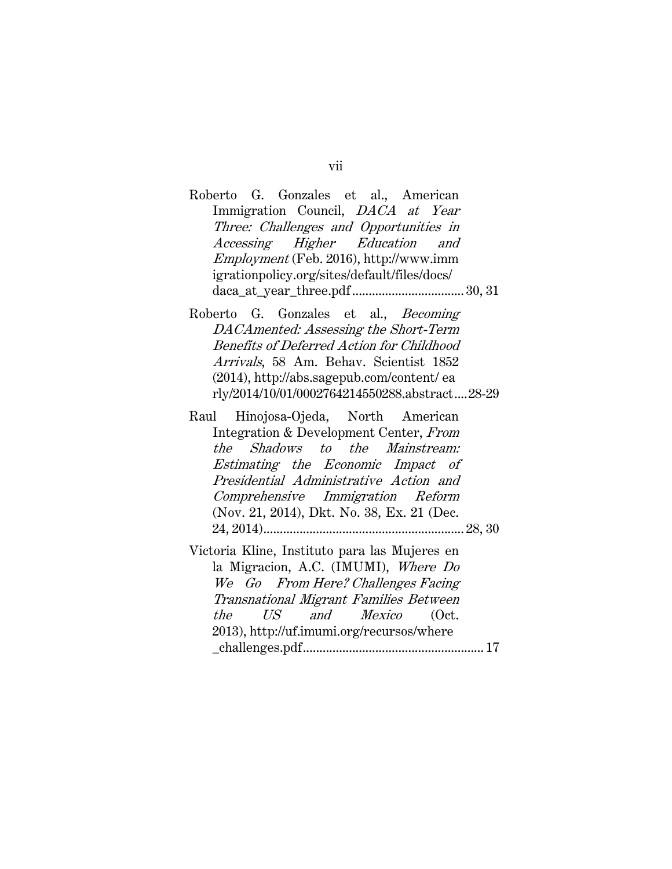## Roberto G. Gonzales et al., American Immigration Council, DACA at Year Three: Challenges and Opportunities in Accessing Higher Education and Employment (Feb. 2016), http://www.imm igrationpolicy.org/sites/default/files/docs/ daca\_at\_year\_three.pdf .................................. 30, 31

- Roberto G. Gonzales et al., Becoming DACAmented: Assessing the Short-Term Benefits of Deferred Action for Childhood Arrivals, 58 Am. Behav. Scientist 1852 (2014), http://abs.sagepub.com/content/ ea rly/2014/10/01/0002764214550288.abstract .... 28-29
- Raul Hinojosa-Ojeda, North American Integration & Development Center, From the Shadows to the Mainstream: Estimating the Economic Impact of Presidential Administrative Action and Comprehensive Immigration Reform (Nov. 21, 2014), Dkt. No. 38, Ex. 21 (Dec. 24, 2014) ............................................................. 28, 30
- Victoria Kline, Instituto para las Mujeres en la Migracion, A.C. (IMUMI), Where Do We Go From Here? Challenges Facing Transnational Migrant Families Between the US and Mexico (Oct. 2013), http://uf.imumi.org/recursos/where \_challenges.pdf ....................................................... 17

#### vii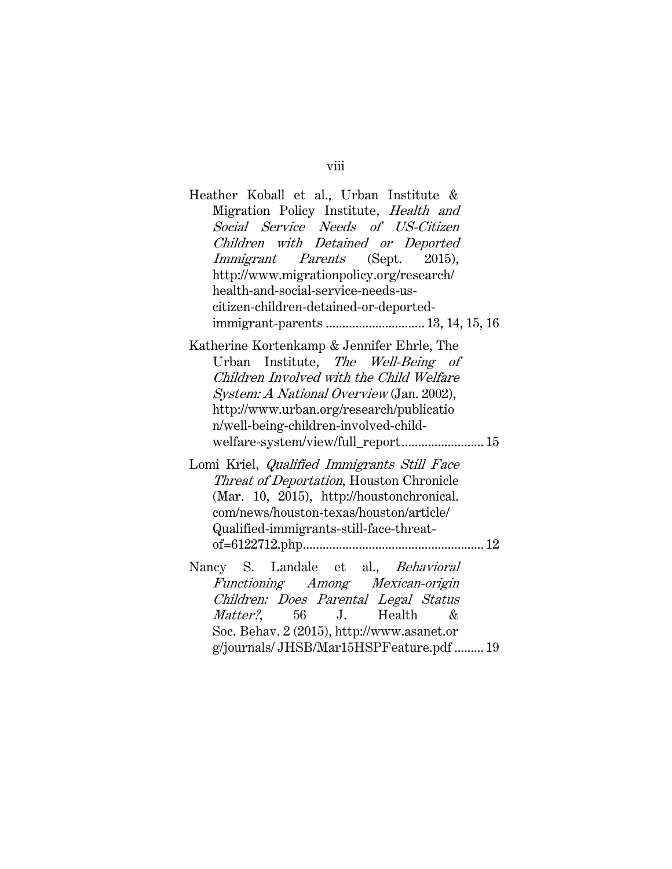| Heather Koball et al., Urban Institute &<br>Migration Policy Institute, Health and<br>Social Service Needs of US-Citizen<br>Children with Detained or Deported<br>Immigrant Parents (Sept. 2015),<br>http://www.migrationpolicy.org/research/<br>health-and-social-service-needs-us-<br>citizen-children-detained-or-deported- |
|--------------------------------------------------------------------------------------------------------------------------------------------------------------------------------------------------------------------------------------------------------------------------------------------------------------------------------|
| Katherine Kortenkamp & Jennifer Ehrle, The<br>Urban Institute, The Well-Being of<br>Children Involved with the Child Welfare<br>System: A National Overview (Jan. 2002),<br>http://www.urban.org/research/publicatio<br>n/well-being-children-involved-child-<br>welfare-system/view/full_report 15                            |
| Lomi Kriel, <i>Qualified Immigrants Still Face</i><br>Threat of Deportation, Houston Chronicle<br>(Mar. 10, 2015), http://houstonchronical.<br>com/news/houston-texas/houston/article/<br>Qualified-immigrants-still-face-threat-                                                                                              |
| Nancy S. Landale et al., Behavioral<br>Functioning Among Mexican-origin<br>Children: Does Parental Legal Status<br><i>Matter?</i> , 56 J. Health<br>&<br>Soc. Behav. 2 (2015), http://www.asanet.or<br>g/journals/JHSB/Mar15HSPFeature.pdf  19                                                                                 |

viii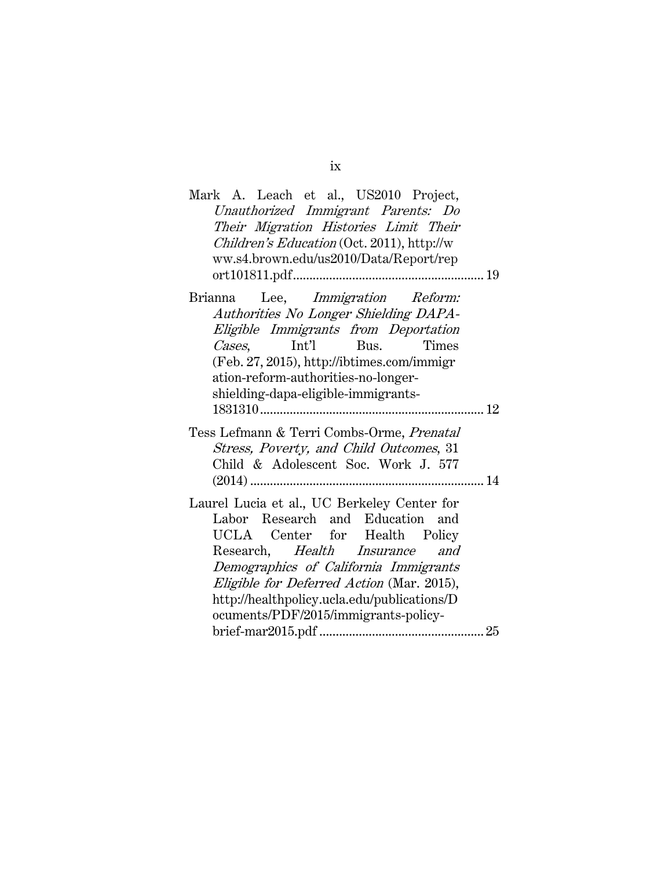| Mark A. Leach et al., US2010 Project,<br>Unauthorized Immigrant Parents: Do<br>Their Migration Histories Limit Their<br>Children's Education (Oct. 2011), http://w<br>ww.s4.brown.edu/us2010/Data/Report/rep                                                                                       |  |
|----------------------------------------------------------------------------------------------------------------------------------------------------------------------------------------------------------------------------------------------------------------------------------------------------|--|
| Lee, <i>Immigration Reform:</i><br>Brianna<br>Authorities No Longer Shielding DAPA-<br>Eligible Immigrants from Deportation<br>Cases.<br>Bus.<br><b>Times</b><br>Int'l<br>(Feb. 27, 2015), http://ibtimes.com/immigr<br>ation-reform-authorities-no-longer-<br>shielding-dapa-eligible-immigrants- |  |
|                                                                                                                                                                                                                                                                                                    |  |
| Tess Lefmann & Terri Combs-Orme, Prenatal<br>Stress, Poverty, and Child Outcomes, 31<br>Child & Adolescent Soc. Work J. 577                                                                                                                                                                        |  |
| Laurel Lucia et al., UC Berkeley Center for                                                                                                                                                                                                                                                        |  |
| Labor Research and Education and<br>UCLA Center for Health Policy<br>Research, Health Insurance<br>and<br>Demographics of California Immigrants<br>Eligible for Deferred Action (Mar. 2015),<br>http://healthpolicy.ucla.edu/publications/D<br>ocuments/PDF/2015/immigrants-policy-                |  |
|                                                                                                                                                                                                                                                                                                    |  |

ix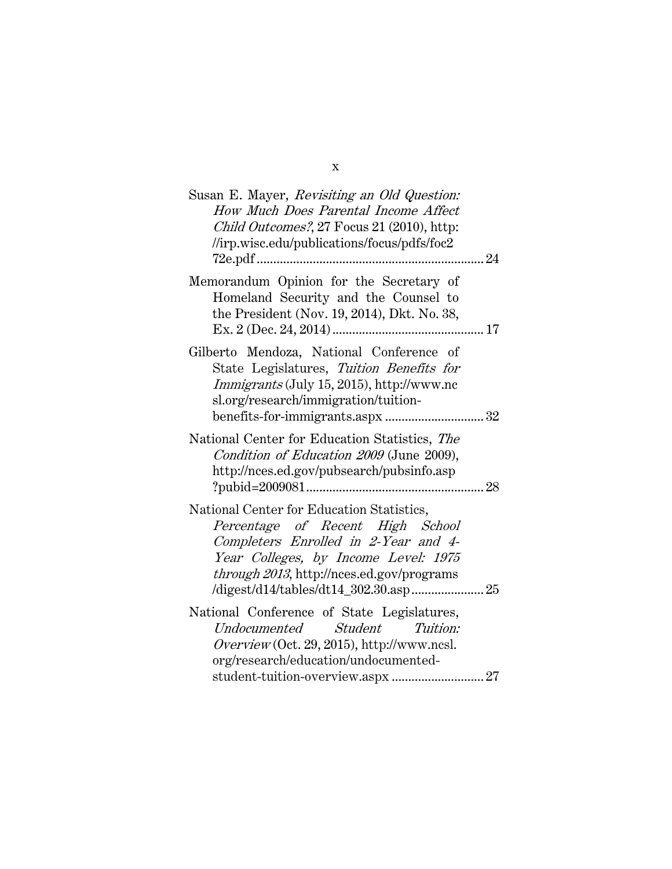| Susan E. Mayer, Revisiting an Old Question:<br>How Much Does Parental Income Affect<br>Child Outcomes?, 27 Focus 21 (2010), http:<br>//irp.wisc.edu/publications/focus/pdfs/foc2                           |
|------------------------------------------------------------------------------------------------------------------------------------------------------------------------------------------------------------|
|                                                                                                                                                                                                            |
| Memorandum Opinion for the Secretary of<br>Homeland Security and the Counsel to<br>the President (Nov. 19, 2014), Dkt. No. 38,                                                                             |
| Gilberto Mendoza, National Conference of<br>State Legislatures, Tuition Benefits for<br>Immigrants (July 15, 2015), http://www.nc<br>sl.org/research/immigration/tuition-                                  |
| National Center for Education Statistics, The<br>Condition of Education 2009 (June 2009),<br>http://nces.ed.gov/pubsearch/pubsinfo.asp                                                                     |
| National Center for Education Statistics,<br>Percentage of Recent High School<br>Completers Enrolled in 2-Year and 4-<br>Year Colleges, by Income Level: 1975<br>through 2013, http://nces.ed.gov/programs |
| National Conference of State Legislatures,<br>Undocumented Student Tuition:<br>$Overview(Oct. 29, 2015)$ , http://www.ncsl.<br>org/research/education/undocumented-                                        |

x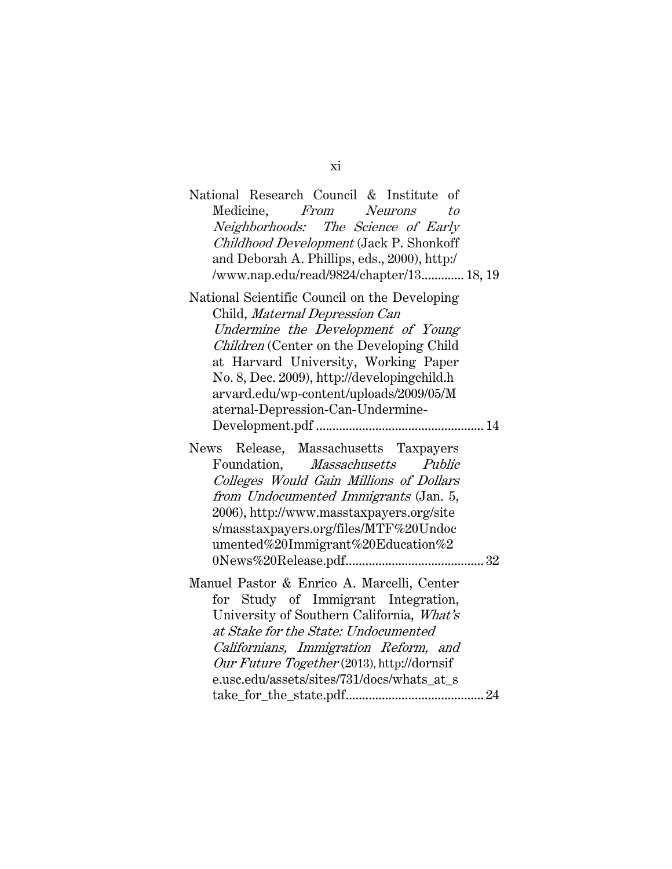| National Research Council & Institute of<br>Medicine, From Neurons<br>to<br>Neighborhoods: The Science of Early<br>Childhood Development (Jack P. Shonkoff<br>and Deborah A. Phillips, eds., 2000), http:/<br>/www.nap.edu/read/9824/chapter/13 18, 19                                                                                   |
|------------------------------------------------------------------------------------------------------------------------------------------------------------------------------------------------------------------------------------------------------------------------------------------------------------------------------------------|
| National Scientific Council on the Developing<br>Child, Maternal Depression Can<br>Undermine the Development of Young<br>Children (Center on the Developing Child<br>at Harvard University, Working Paper<br>No. 8, Dec. 2009), http://developingchild.h<br>arvard.edu/wp-content/uploads/2009/05/M<br>aternal-Depression-Can-Undermine- |
| Release, Massachusetts Taxpayers<br>News<br>Foundation, Massachusetts Public<br>Colleges Would Gain Millions of Dollars<br>from Undocumented Immigrants (Jan. 5,<br>2006), http://www.masstaxpayers.org/site<br>s/masstaxpayers.org/files/MTF%20Undoc<br>umented%20Immigrant%20Education%2                                               |
| Manuel Pastor & Enrico A. Marcelli, Center<br>for Study of Immigrant Integration,<br>University of Southern California, What's<br>at Stake for the State: Undocumented<br>Californians, Immigration Reform, and<br>Our Future Together (2013), http://dornsif<br>e.usc.edu/assets/sites/731/docs/whats_at_s                              |

xi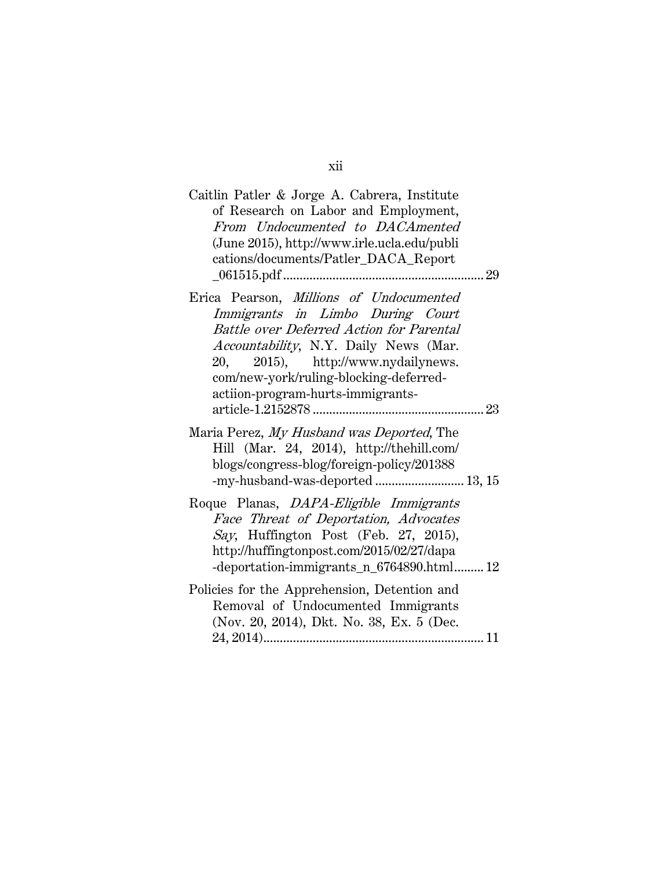| Caitlin Patler & Jorge A. Cabrera, Institute<br>of Research on Labor and Employment,<br>From Undocumented to DACAmented<br>(June 2015), http://www.irle.ucla.edu/publi<br>cations/documents/Patler_DACA_Report                                                                                  |
|-------------------------------------------------------------------------------------------------------------------------------------------------------------------------------------------------------------------------------------------------------------------------------------------------|
| Erica Pearson, Millions of Undocumented<br>Immigrants in Limbo During Court<br><b>Battle over Deferred Action for Parental</b><br>Accountability, N.Y. Daily News (Mar.<br>2015), http://www.nydailynews.<br>20.<br>com/new-york/ruling-blocking-deferred-<br>actiion-program-hurts-immigrants- |
| Maria Perez, My Husband was Deported, The<br>Hill (Mar. 24, 2014), http://thehill.com/<br>blogs/congress-blog/foreign-policy/201388<br>-my-husband-was-deported 13, 15                                                                                                                          |
| Roque Planas, DAPA-Eligible Immigrants<br>Face Threat of Deportation, Advocates<br>Say, Huffington Post (Feb. 27, 2015),<br>http://huffingtonpost.com/2015/02/27/dapa<br>-deportation-immigrants_n_6764890.html 12                                                                              |
| Policies for the Apprehension, Detention and<br>Removal of Undocumented Immigrants<br>(Nov. 20, 2014), Dkt. No. 38, Ex. 5 (Dec.                                                                                                                                                                 |

xii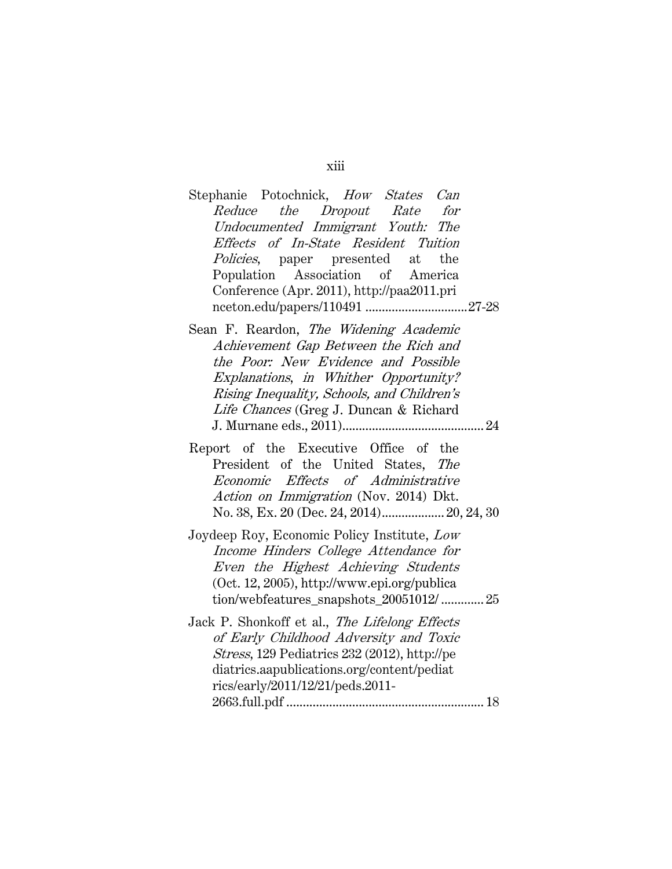# Stephanie Potochnick, How States Can Reduce the Dropout Rate for Undocumented Immigrant Youth: The Effects of In-State Resident Tuition Policies, paper presented at the Population Association of America Conference (Apr. 2011), http://paa2011.pri nceton.edu/papers/110491 ............................... 27-28

- Sean F. Reardon, The Widening Academic Achievement Gap Between the Rich and the Poor: New Evidence and Possible Explanations, in Whither Opportunity? Rising Inequality, Schools, and Children's Life Chances (Greg J. Duncan & Richard J. Murnane eds., 2011) ........................................... 24
- Report of the Executive Office of the President of the United States, The Economic Effects of Administrative Action on Immigration (Nov. 2014) Dkt. No. 38, Ex. 20 (Dec. 24, 2014) ................... 20, 24, 30
- Joydeep Roy, Economic Policy Institute, Low Income Hinders College Attendance for Even the Highest Achieving Students (Oct. 12, 2005), http://www.epi.org/publica tion/webfeatures\_snapshots\_20051012/ ............. 25
- Jack P. Shonkoff et al., The Lifelong Effects of Early Childhood Adversity and Toxic Stress, 129 Pediatrics 232 (2012), http://pe diatrics.aapublications.org/content/pediat rics/early/2011/12/21/peds.2011- 2663.full.pdf ............................................................ 18

#### xiii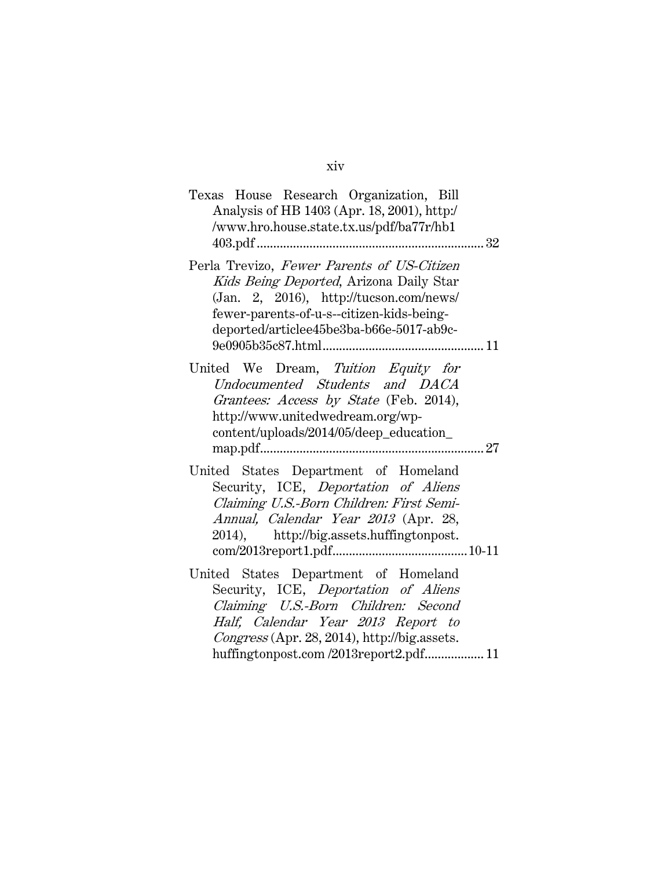| Texas House Research Organization, Bill<br>Analysis of HB 1403 (Apr. 18, 2001), http:/<br>/www.hro.house.state.tx.us/pdf/ba77r/hb1<br>403.pdf                                                                                                      |
|----------------------------------------------------------------------------------------------------------------------------------------------------------------------------------------------------------------------------------------------------|
| Perla Trevizo, Fewer Parents of US-Citizen<br>Kids Being Deported, Arizona Daily Star<br>(Jan. 2, 2016), $http://tucson.com/news/$<br>fewer-parents-of-u-s--citizen-kids-being-<br>deported/articlee45be3ba-b66e-5017-ab9c-                        |
| United We Dream, Tuition Equity for<br>Undocumented Students and DACA<br>Grantees: Access by State (Feb. 2014),<br>http://www.unitedwedream.org/wp-<br>content/uploads/2014/05/deep_education_                                                     |
| United States Department of Homeland<br>Security, ICE, Deportation of Aliens<br>Claiming U.S.-Born Children: First Semi-<br>Annual, Calendar Year 2013 (Apr. 28,<br>2014), http://big.assets.huffingtonpost.                                       |
| United States Department of Homeland<br>Security, ICE, Deportation of Aliens<br>Claiming U.S.-Born Children: Second<br>Half, Calendar Year 2013 Report to<br>Congress (Apr. 28, 2014), http://big.assets.<br>huffingtonpost.com/2013report2.pdf 11 |

xiv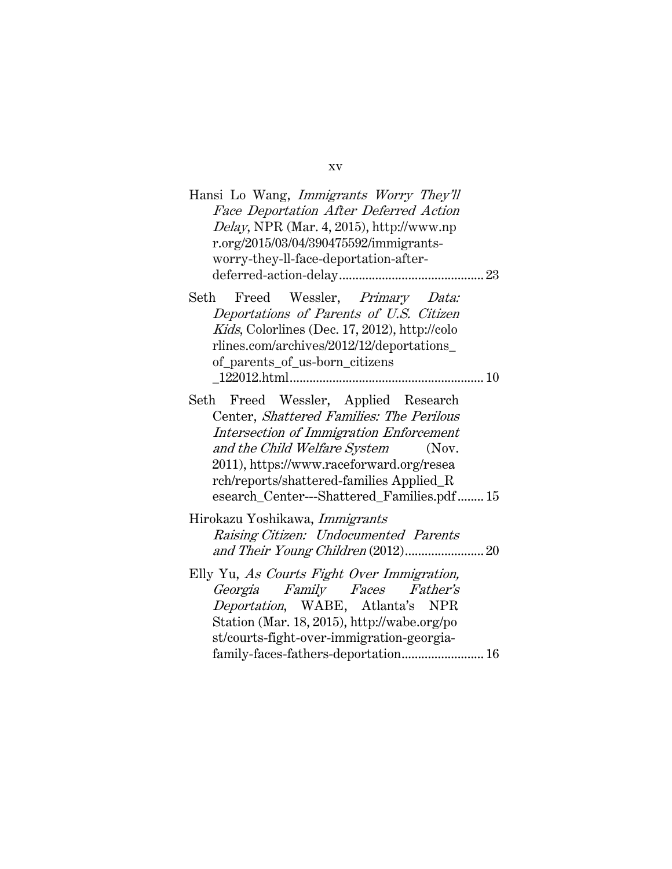| Hansi Lo Wang, Immigrants Worry They'll<br>Face Deportation After Deferred Action<br>Delay, NPR (Mar. 4, 2015), http://www.np<br>r.org/2015/03/04/390475592/immigrants-<br>worry-they-ll-face-deportation-after-                                                                                              |
|---------------------------------------------------------------------------------------------------------------------------------------------------------------------------------------------------------------------------------------------------------------------------------------------------------------|
| Freed Wessler, Primary Data:<br>Seth<br>Deportations of Parents of U.S. Citizen<br>Kids, Colorlines (Dec. 17, 2012), http://colo<br>rlines.com/archives/2012/12/deportations_<br>of_parents_of_us-born_citizens                                                                                               |
|                                                                                                                                                                                                                                                                                                               |
| Freed Wessler, Applied Research<br>Seth<br>Center, Shattered Families: The Perilous<br>Intersection of Immigration Enforcement<br>and the Child Welfare System<br>(Nov.<br>2011), https://www.raceforward.org/resea<br>rch/reports/shattered-families Applied_R<br>esearch_Center---Shattered_Families.pdf 15 |
| Hirokazu Yoshikawa, Immigrants                                                                                                                                                                                                                                                                                |
| Raising Citizen: Undocumented Parents                                                                                                                                                                                                                                                                         |
| Elly Yu, As Courts Fight Over Immigration,<br>Georgia Family Faces Father's<br>Deportation, WABE, Atlanta's NPR<br>Station (Mar. 18, 2015), http://wabe.org/po<br>st/courts-fight-over-immigration-georgia-<br>family-faces-fathers-deportation 16                                                            |

xv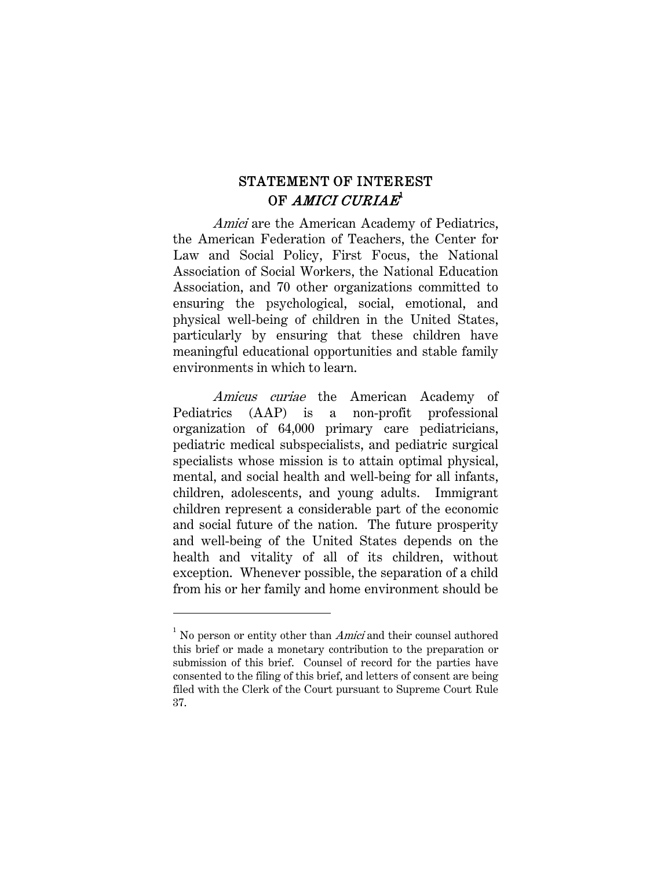# STATEMENT OF INTEREST OF AMICI CURIAE $^{\tt I}$

Amici are the American Academy of Pediatrics, the American Federation of Teachers, the Center for Law and Social Policy, First Focus, the National Association of Social Workers, the National Education Association, and 70 other organizations committed to ensuring the psychological, social, emotional, and physical well-being of children in the United States, particularly by ensuring that these children have meaningful educational opportunities and stable family environments in which to learn.

Amicus curiae the American Academy of Pediatrics (AAP) is a non-profit professional organization of 64,000 primary care pediatricians, pediatric medical subspecialists, and pediatric surgical specialists whose mission is to attain optimal physical, mental, and social health and well-being for all infants, children, adolescents, and young adults. Immigrant children represent a considerable part of the economic and social future of the nation. The future prosperity and well-being of the United States depends on the health and vitality of all of its children, without exception. Whenever possible, the separation of a child from his or her family and home environment should be

<sup>&</sup>lt;sup>1</sup> No person or entity other than  $Amici$  and their counsel authored this brief or made a monetary contribution to the preparation or submission of this brief. Counsel of record for the parties have consented to the filing of this brief, and letters of consent are being filed with the Clerk of the Court pursuant to Supreme Court Rule 37.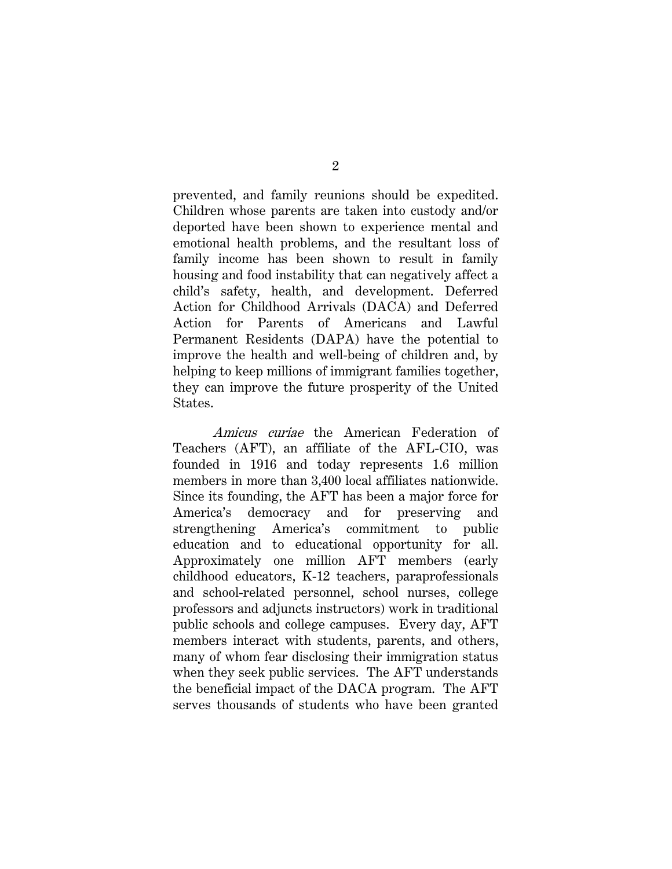prevented, and family reunions should be expedited. Children whose parents are taken into custody and/or deported have been shown to experience mental and emotional health problems, and the resultant loss of family income has been shown to result in family housing and food instability that can negatively affect a child's safety, health, and development. Deferred Action for Childhood Arrivals (DACA) and Deferred Action for Parents of Americans and Lawful Permanent Residents (DAPA) have the potential to improve the health and well-being of children and, by helping to keep millions of immigrant families together, they can improve the future prosperity of the United States.

Amicus curiae the American Federation of Teachers (AFT), an affiliate of the AFL-CIO, was founded in 1916 and today represents 1.6 million members in more than 3,400 local affiliates nationwide. Since its founding, the AFT has been a major force for America's democracy and for preserving and strengthening America's commitment to public education and to educational opportunity for all. Approximately one million AFT members (early childhood educators, K-12 teachers, paraprofessionals and school-related personnel, school nurses, college professors and adjuncts instructors) work in traditional public schools and college campuses. Every day, AFT members interact with students, parents, and others, many of whom fear disclosing their immigration status when they seek public services. The AFT understands the beneficial impact of the DACA program. The AFT serves thousands of students who have been granted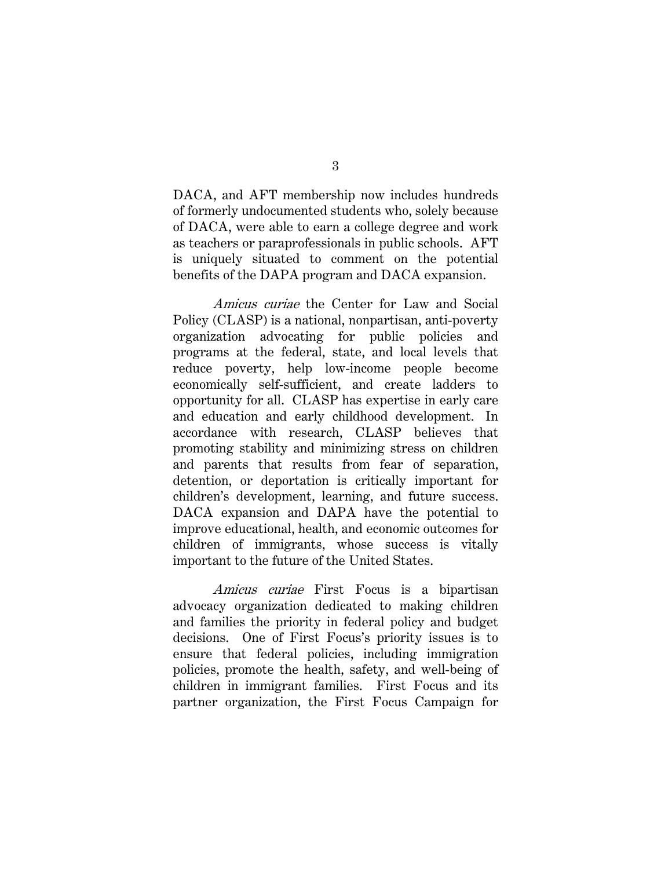DACA, and AFT membership now includes hundreds of formerly undocumented students who, solely because of DACA, were able to earn a college degree and work as teachers or paraprofessionals in public schools. AFT is uniquely situated to comment on the potential benefits of the DAPA program and DACA expansion.

Amicus curiae the Center for Law and Social Policy (CLASP) is a national, nonpartisan, anti-poverty organization advocating for public policies and programs at the federal, state, and local levels that reduce poverty, help low-income people become economically self-sufficient, and create ladders to opportunity for all. CLASP has expertise in early care and education and early childhood development. In accordance with research, CLASP believes that promoting stability and minimizing stress on children and parents that results from fear of separation, detention, or deportation is critically important for children's development, learning, and future success. DACA expansion and DAPA have the potential to improve educational, health, and economic outcomes for children of immigrants, whose success is vitally important to the future of the United States.

Amicus curiae First Focus is a bipartisan advocacy organization dedicated to making children and families the priority in federal policy and budget decisions. One of First Focus's priority issues is to ensure that federal policies, including immigration policies, promote the health, safety, and well-being of children in immigrant families. First Focus and its partner organization, the First Focus Campaign for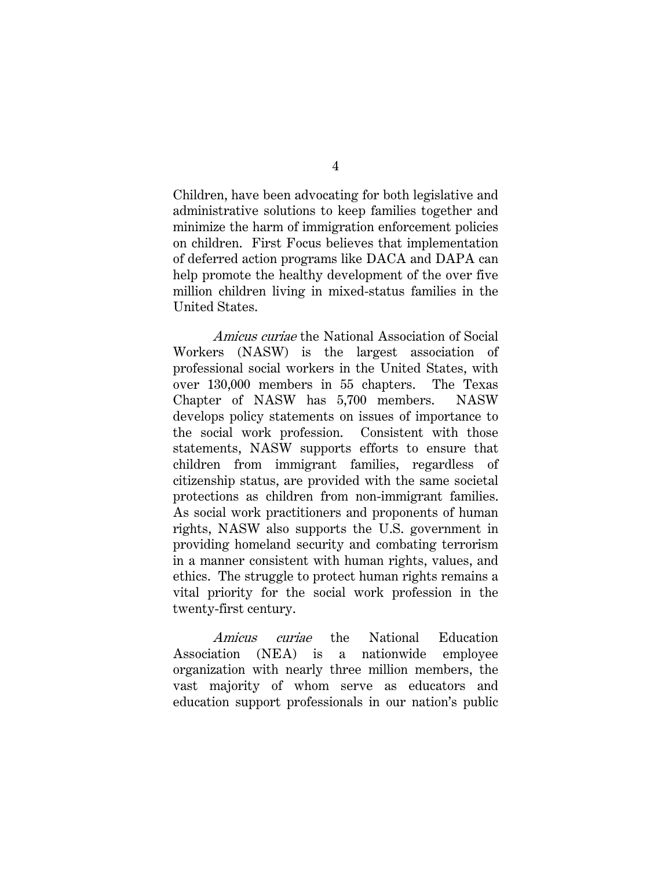Children, have been advocating for both legislative and administrative solutions to keep families together and minimize the harm of immigration enforcement policies on children. First Focus believes that implementation of deferred action programs like DACA and DAPA can help promote the healthy development of the over five million children living in mixed-status families in the United States.

Amicus curiae the National Association of Social Workers (NASW) is the largest association of professional social workers in the United States, with over 130,000 members in 55 chapters. The Texas Chapter of NASW has 5,700 members. NASW develops policy statements on issues of importance to the social work profession. Consistent with those statements, NASW supports efforts to ensure that children from immigrant families, regardless of citizenship status, are provided with the same societal protections as children from non-immigrant families. As social work practitioners and proponents of human rights, NASW also supports the U.S. government in providing homeland security and combating terrorism in a manner consistent with human rights, values, and ethics. The struggle to protect human rights remains a vital priority for the social work profession in the twenty-first century.

Amicus curiae the National Education Association (NEA) is a nationwide employee organization with nearly three million members, the vast majority of whom serve as educators and education support professionals in our nation's public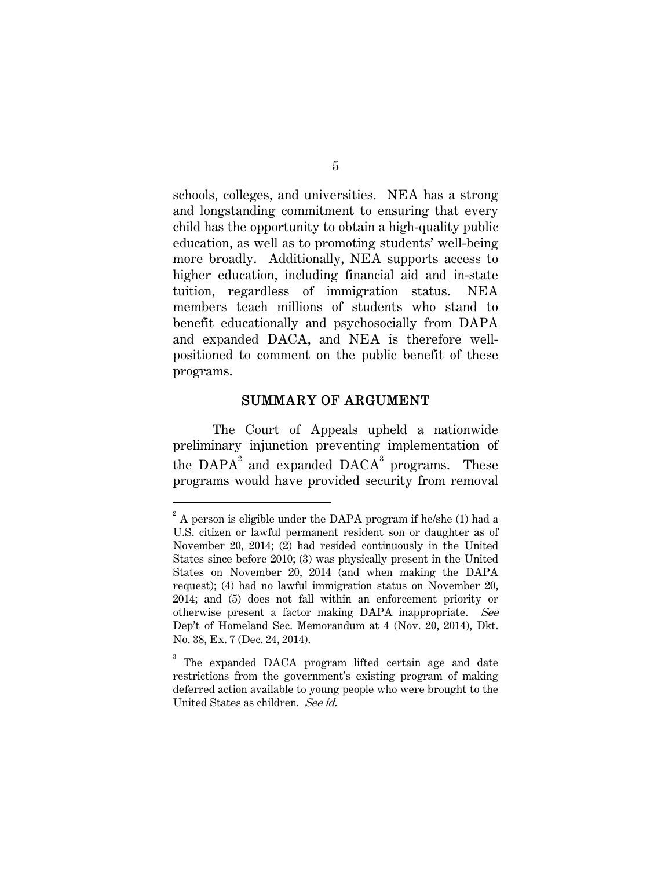schools, colleges, and universities. NEA has a strong and longstanding commitment to ensuring that every child has the opportunity to obtain a high-quality public education, as well as to promoting students' well-being more broadly. Additionally, NEA supports access to higher education, including financial aid and in-state tuition, regardless of immigration status. NEA members teach millions of students who stand to benefit educationally and psychosocially from DAPA and expanded DACA, and NEA is therefore wellpositioned to comment on the public benefit of these programs.

### SUMMARY OF ARGUMENT

The Court of Appeals upheld a nationwide preliminary injunction preventing implementation of the  $DAPA<sup>2</sup>$  and expanded  $DACA<sup>3</sup>$  programs. These programs would have provided security from removal

 $2^{2}$  A person is eligible under the DAPA program if he/she (1) had a U.S. citizen or lawful permanent resident son or daughter as of November 20, 2014; (2) had resided continuously in the United States since before 2010; (3) was physically present in the United States on November 20, 2014 (and when making the DAPA request); (4) had no lawful immigration status on November 20, 2014; and (5) does not fall within an enforcement priority or otherwise present a factor making DAPA inappropriate. See Dep't of Homeland Sec. Memorandum at 4 (Nov. 20, 2014), Dkt. No. 38, Ex. 7 (Dec. 24, 2014).

<sup>&</sup>lt;sup>3</sup> The expanded DACA program lifted certain age and date restrictions from the government's existing program of making deferred action available to young people who were brought to the United States as children. See id.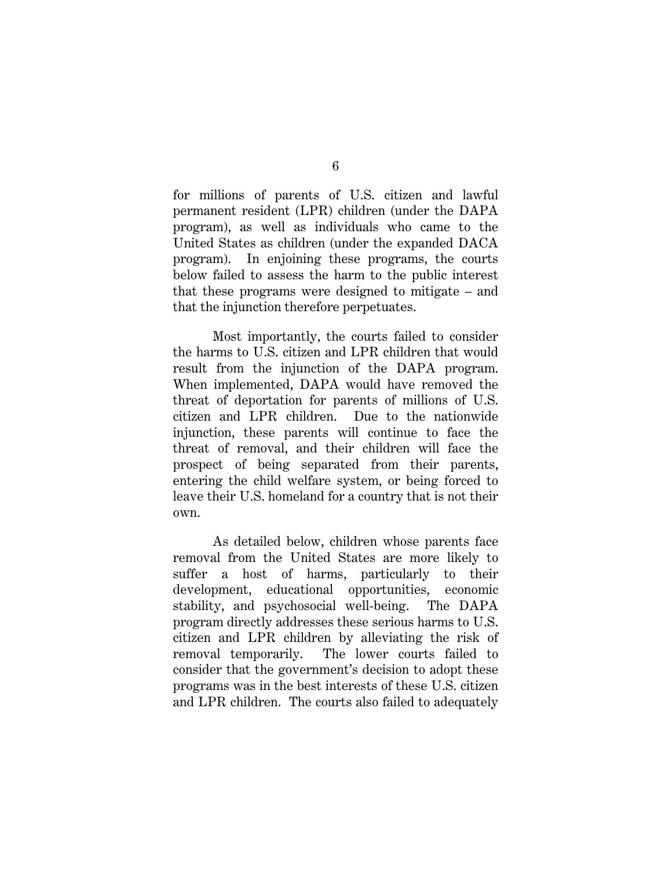for millions of parents of U.S. citizen and lawful permanent resident (LPR) children (under the DAPA program), as well as individuals who came to the United States as children (under the expanded DACA program). In enjoining these programs, the courts below failed to assess the harm to the public interest that these programs were designed to mitigate – and that the injunction therefore perpetuates.

Most importantly, the courts failed to consider the harms to U.S. citizen and LPR children that would result from the injunction of the DAPA program. When implemented, DAPA would have removed the threat of deportation for parents of millions of U.S. citizen and LPR children. Due to the nationwide injunction, these parents will continue to face the threat of removal, and their children will face the prospect of being separated from their parents, entering the child welfare system, or being forced to leave their U.S. homeland for a country that is not their own.

As detailed below, children whose parents face removal from the United States are more likely to suffer a host of harms, particularly to their development, educational opportunities, economic stability, and psychosocial well-being. The DAPA program directly addresses these serious harms to U.S. citizen and LPR children by alleviating the risk of removal temporarily. The lower courts failed to consider that the government's decision to adopt these programs was in the best interests of these U.S. citizen and LPR children. The courts also failed to adequately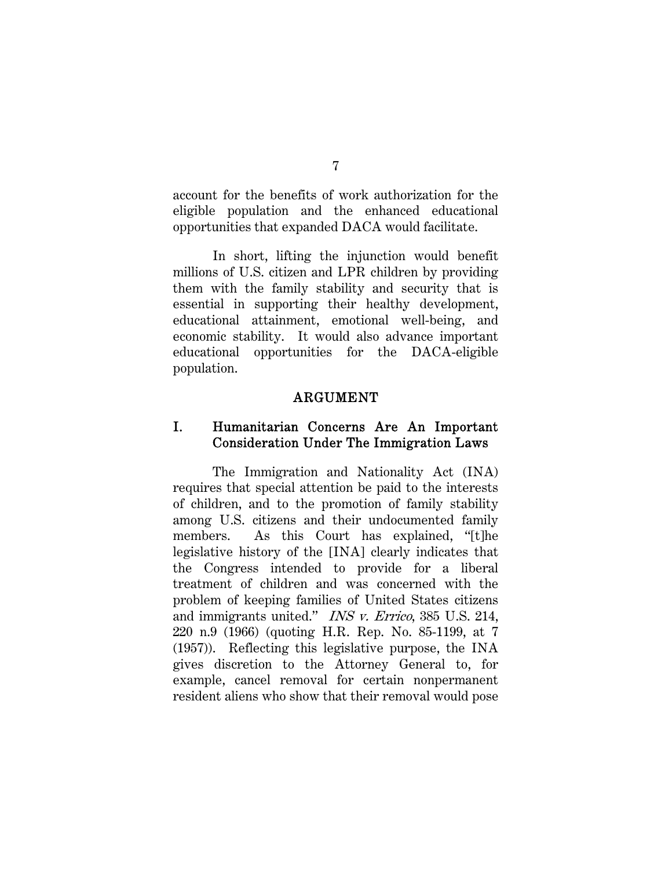account for the benefits of work authorization for the eligible population and the enhanced educational opportunities that expanded DACA would facilitate.

In short, lifting the injunction would benefit millions of U.S. citizen and LPR children by providing them with the family stability and security that is essential in supporting their healthy development, educational attainment, emotional well-being, and economic stability. It would also advance important educational opportunities for the DACA-eligible population.

### ARGUMENT

## I. Humanitarian Concerns Are An Important Consideration Under The Immigration Laws

The Immigration and Nationality Act (INA) requires that special attention be paid to the interests of children, and to the promotion of family stability among U.S. citizens and their undocumented family members. As this Court has explained, "[t]he legislative history of the [INA] clearly indicates that the Congress intended to provide for a liberal treatment of children and was concerned with the problem of keeping families of United States citizens and immigrants united." INS v. Errico, 385 U.S. 214, 220 n.9 (1966) (quoting H.R. Rep. No. 85-1199, at 7 (1957)). Reflecting this legislative purpose, the INA gives discretion to the Attorney General to, for example, cancel removal for certain nonpermanent resident aliens who show that their removal would pose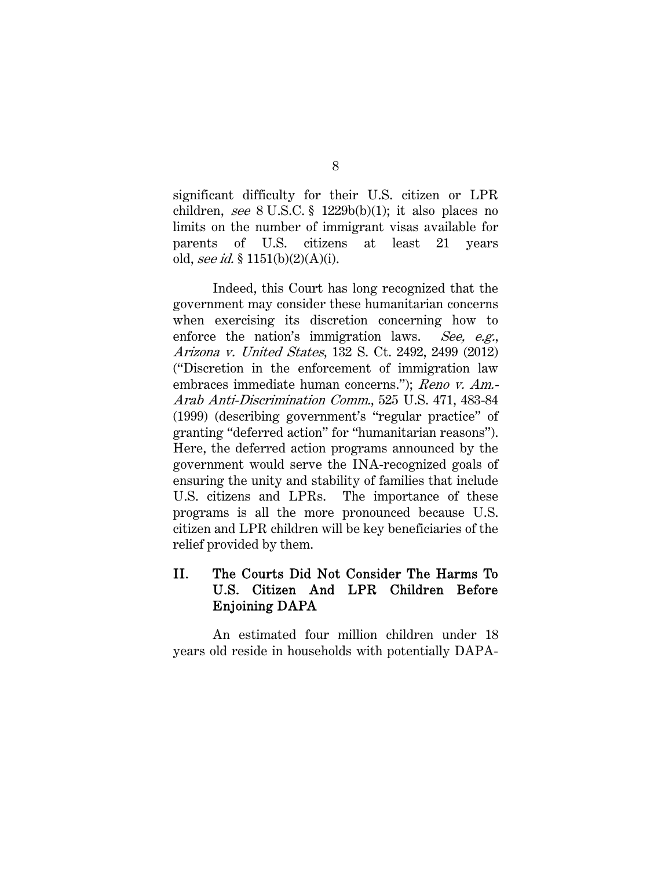significant difficulty for their U.S. citizen or LPR children, see  $8 \text{ U.S.C.}$   $\frac{8}{1229b(b)(1)}$ ; it also places no limits on the number of immigrant visas available for parents of U.S. citizens at least 21 years old, see id. §  $1151(b)(2)(A)(i)$ .

Indeed, this Court has long recognized that the government may consider these humanitarian concerns when exercising its discretion concerning how to enforce the nation's immigration laws. See, e.g., Arizona v. United States, 132 S. Ct. 2492, 2499 (2012) ("Discretion in the enforcement of immigration law embraces immediate human concerns."); Reno v. Am.-Arab Anti-Discrimination Comm., 525 U.S. 471, 483-84 (1999) (describing government's "regular practice" of granting "deferred action" for "humanitarian reasons"). Here, the deferred action programs announced by the government would serve the INA-recognized goals of ensuring the unity and stability of families that include U.S. citizens and LPRs. The importance of these programs is all the more pronounced because U.S. citizen and LPR children will be key beneficiaries of the relief provided by them.

# II. The Courts Did Not Consider The Harms To U.S. Citizen And LPR Children Before Enjoining DAPA

An estimated four million children under 18 years old reside in households with potentially DAPA-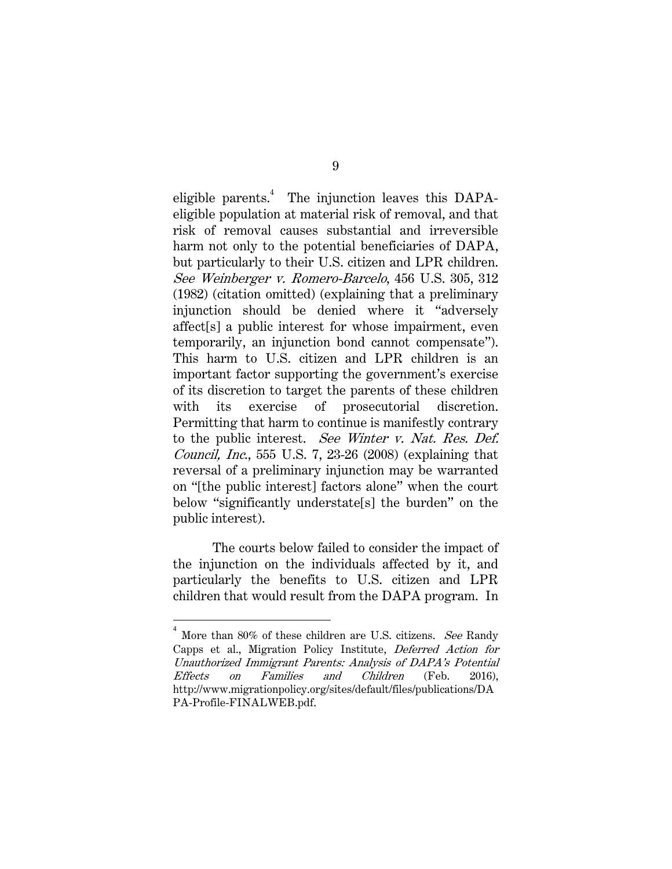eligible parents.<sup>4</sup> The injunction leaves this DAPAeligible population at material risk of removal, and that risk of removal causes substantial and irreversible harm not only to the potential beneficiaries of DAPA, but particularly to their U.S. citizen and LPR children. See Weinberger v. Romero-Barcelo, 456 U.S. 305, 312 (1982) (citation omitted) (explaining that a preliminary injunction should be denied where it "adversely affect[s] a public interest for whose impairment, even temporarily, an injunction bond cannot compensate"). This harm to U.S. citizen and LPR children is an important factor supporting the government's exercise of its discretion to target the parents of these children with its exercise of prosecutorial discretion. Permitting that harm to continue is manifestly contrary to the public interest. See Winter v. Nat. Res. Def. *Council, Inc.*, 555 U.S. 7, 23-26 (2008) (explaining that reversal of a preliminary injunction may be warranted on "[the public interest] factors alone" when the court below "significantly understate[s] the burden" on the public interest).

The courts below failed to consider the impact of the injunction on the individuals affected by it, and particularly the benefits to U.S. citizen and LPR children that would result from the DAPA program. In

<sup>4</sup> More than 80% of these children are U.S. citizens. See Randy Capps et al., Migration Policy Institute, Deferred Action for Unauthorized Immigrant Parents: Analysis of DAPA's Potential Effects on Families and Children (Feb. 2016), http://www.migrationpolicy.org/sites/default/files/publications/DA PA-Profile-FINALWEB.pdf.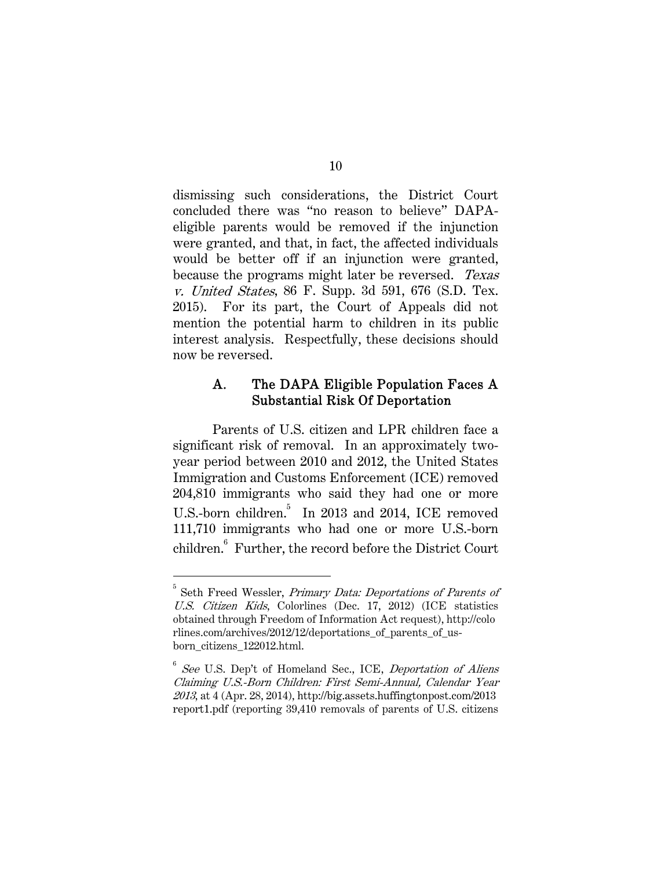dismissing such considerations, the District Court concluded there was "no reason to believe" DAPAeligible parents would be removed if the injunction were granted, and that, in fact, the affected individuals would be better off if an injunction were granted, because the programs might later be reversed. Texas v. United States, 86 F. Supp. 3d 591, 676 (S.D. Tex. 2015). For its part, the Court of Appeals did not mention the potential harm to children in its public interest analysis. Respectfully, these decisions should now be reversed.

## A. The DAPA Eligible Population Faces A Substantial Risk Of Deportation

Parents of U.S. citizen and LPR children face a significant risk of removal. In an approximately twoyear period between 2010 and 2012, the United States Immigration and Customs Enforcement (ICE) removed 204,810 immigrants who said they had one or more U.S.-born children.<sup>5</sup> In 2013 and 2014, ICE removed 111,710 immigrants who had one or more U.S.-born children.<sup>6</sup> Further, the record before the District Court

<sup>&</sup>lt;sup>5</sup> Seth Freed Wessler, *Primary Data: Deportations of Parents of* U.S. Citizen Kids, Colorlines (Dec. 17, 2012) (ICE statistics obtained through Freedom of Information Act request), http://colo rlines.com/archives/2012/12/deportations\_of\_parents\_of\_usborn\_citizens\_122012.html.

 $6$  See U.S. Dep't of Homeland Sec., ICE, Deportation of Aliens Claiming U.S.-Born Children: First Semi-Annual, Calendar Year 2013, at 4 (Apr. 28, 2014), http://big.assets.huffingtonpost.com/2013 report1.pdf (reporting 39,410 removals of parents of U.S. citizens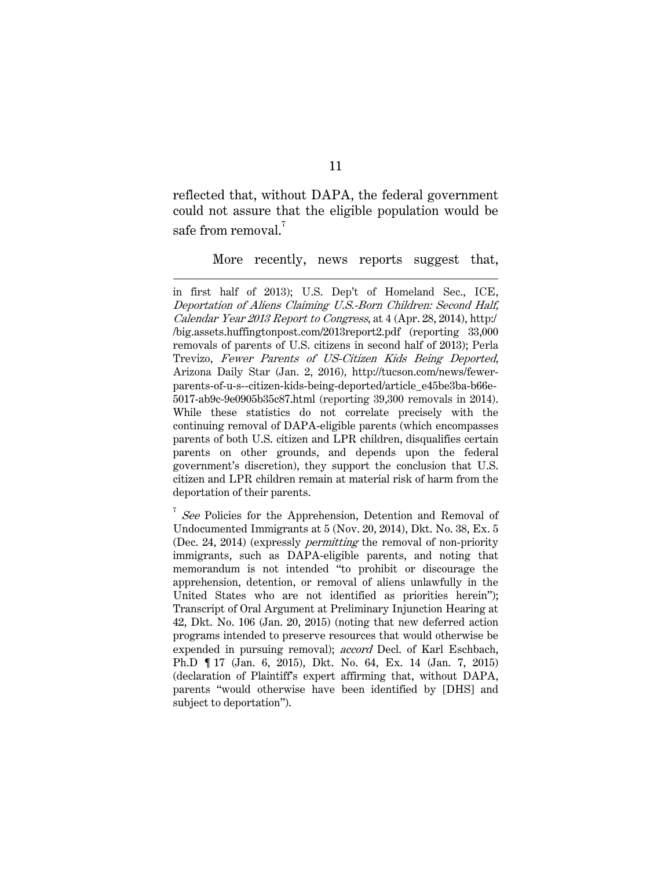reflected that, without DAPA, the federal government could not assure that the eligible population would be safe from removal. $^7$ 

 $\overline{a}$ 

More recently, news reports suggest that,

in first half of 2013); U.S. Dep't of Homeland Sec., ICE, Deportation of Aliens Claiming U.S.-Born Children: Second Half, Calendar Year 2013 Report to Congress, at 4 (Apr. 28, 2014), http:/ /big.assets.huffingtonpost.com/2013report2.pdf (reporting 33,000 removals of parents of U.S. citizens in second half of 2013); Perla Trevizo, Fewer Parents of US-Citizen Kids Being Deported, Arizona Daily Star (Jan. 2, 2016), http://tucson.com/news/fewerparents-of-u-s--citizen-kids-being-deported/article\_e45be3ba-b66e-5017-ab9c-9e0905b35c87.html (reporting 39,300 removals in 2014). While these statistics do not correlate precisely with the continuing removal of DAPA-eligible parents (which encompasses parents of both U.S. citizen and LPR children, disqualifies certain parents on other grounds, and depends upon the federal government's discretion), they support the conclusion that U.S. citizen and LPR children remain at material risk of harm from the deportation of their parents.

<sup>7</sup> See Policies for the Apprehension, Detention and Removal of Undocumented Immigrants at 5 (Nov. 20, 2014), Dkt. No. 38, Ex. 5 (Dec. 24, 2014) (expressly permitting the removal of non-priority immigrants, such as DAPA-eligible parents, and noting that memorandum is not intended "to prohibit or discourage the apprehension, detention, or removal of aliens unlawfully in the United States who are not identified as priorities herein"); Transcript of Oral Argument at Preliminary Injunction Hearing at 42, Dkt. No. 106 (Jan. 20, 2015) (noting that new deferred action programs intended to preserve resources that would otherwise be expended in pursuing removal); accord Decl. of Karl Eschbach, Ph.D ¶ 17 (Jan. 6, 2015), Dkt. No. 64, Ex. 14 (Jan. 7, 2015) (declaration of Plaintiff's expert affirming that, without DAPA, parents "would otherwise have been identified by [DHS] and subject to deportation").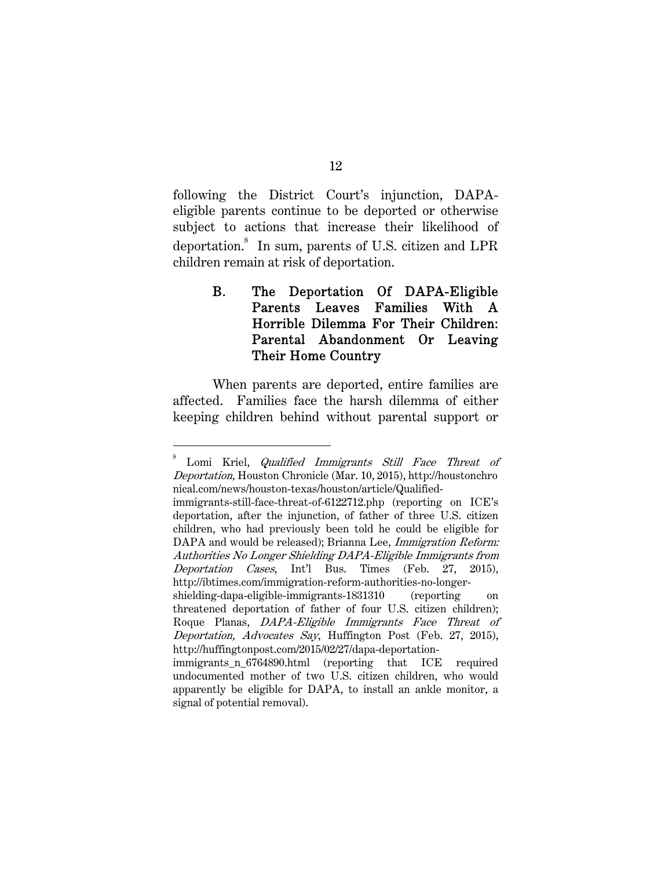following the District Court's injunction, DAPAeligible parents continue to be deported or otherwise subject to actions that increase their likelihood of deportation.<sup>8</sup> In sum, parents of U.S. citizen and LPR children remain at risk of deportation.

# B. The Deportation Of DAPA-Eligible Parents Leaves Families With A Horrible Dilemma For Their Children: Parental Abandonment Or Leaving Their Home Country

When parents are deported, entire families are affected. Families face the harsh dilemma of either keeping children behind without parental support or

<sup>8</sup> Lomi Kriel, Qualified Immigrants Still Face Threat of Deportation, Houston Chronicle (Mar. 10, 2015), http://houstonchro nical.com/news/houston-texas/houston/article/Qualified-

immigrants-still-face-threat-of-6122712.php (reporting on ICE's deportation, after the injunction, of father of three U.S. citizen children, who had previously been told he could be eligible for DAPA and would be released); Brianna Lee, Immigration Reform: Authorities No Longer Shielding DAPA-Eligible Immigrants from Deportation Cases, Int'l Bus. Times (Feb. 27, 2015), http://ibtimes.com/immigration-reform-authorities-no-longer-

shielding-dapa-eligible-immigrants-1831310 (reporting on threatened deportation of father of four U.S. citizen children); Roque Planas, DAPA-Eligible Immigrants Face Threat of Deportation, Advocates Say, Huffington Post (Feb. 27, 2015), http://huffingtonpost.com/2015/02/27/dapa-deportation-

immigrants\_n\_6764890.html (reporting that ICE required undocumented mother of two U.S. citizen children, who would apparently be eligible for DAPA, to install an ankle monitor, a signal of potential removal).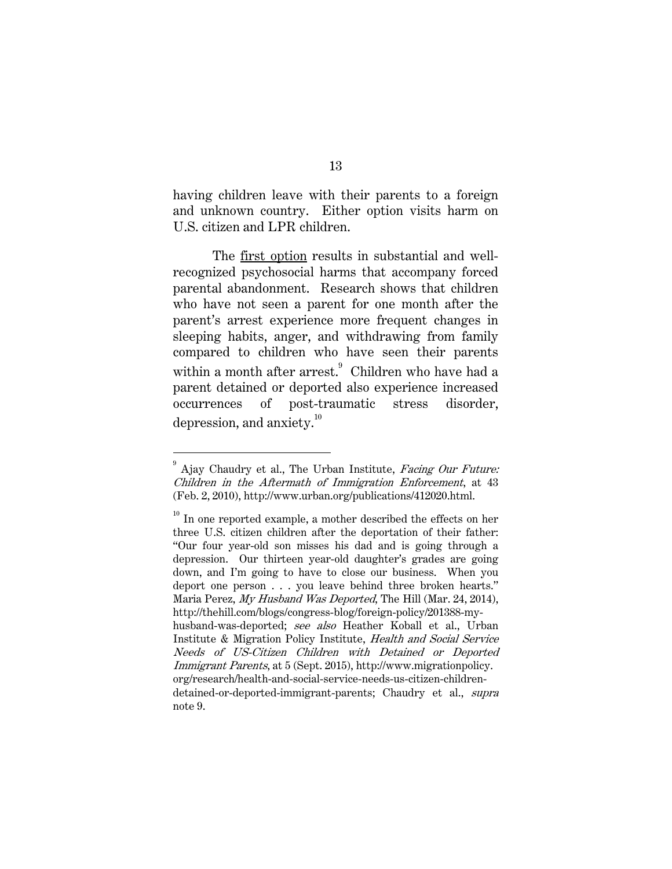having children leave with their parents to a foreign and unknown country. Either option visits harm on U.S. citizen and LPR children.

The first option results in substantial and wellrecognized psychosocial harms that accompany forced parental abandonment. Research shows that children who have not seen a parent for one month after the parent's arrest experience more frequent changes in sleeping habits, anger, and withdrawing from family compared to children who have seen their parents within a month after arrest.<sup>9</sup> Children who have had a parent detained or deported also experience increased occurrences of post-traumatic stress disorder, depression, and anxiety. $10^{10}$ 

<sup>9</sup> Ajay Chaudry et al., The Urban Institute, Facing Our Future: Children in the Aftermath of Immigration Enforcement, at 43 (Feb. 2, 2010), http://www.urban.org/publications/412020.html.

 $10^{10}$  In one reported example, a mother described the effects on her three U.S. citizen children after the deportation of their father: "Our four year-old son misses his dad and is going through a depression. Our thirteen year-old daughter's grades are going down, and I'm going to have to close our business. When you deport one person . . . you leave behind three broken hearts." Maria Perez, My Husband Was Deported, The Hill (Mar. 24, 2014), http://thehill.com/blogs/congress-blog/foreign-policy/201388-myhusband-was-deported; see also Heather Koball et al., Urban Institute & Migration Policy Institute, Health and Social Service Needs of US-Citizen Children with Detained or Deported Immigrant Parents, at 5 (Sept. 2015), http://www.migrationpolicy. org/research/health-and-social-service-needs-us-citizen-childrendetained-or-deported-immigrant-parents; Chaudry et al., supra note 9.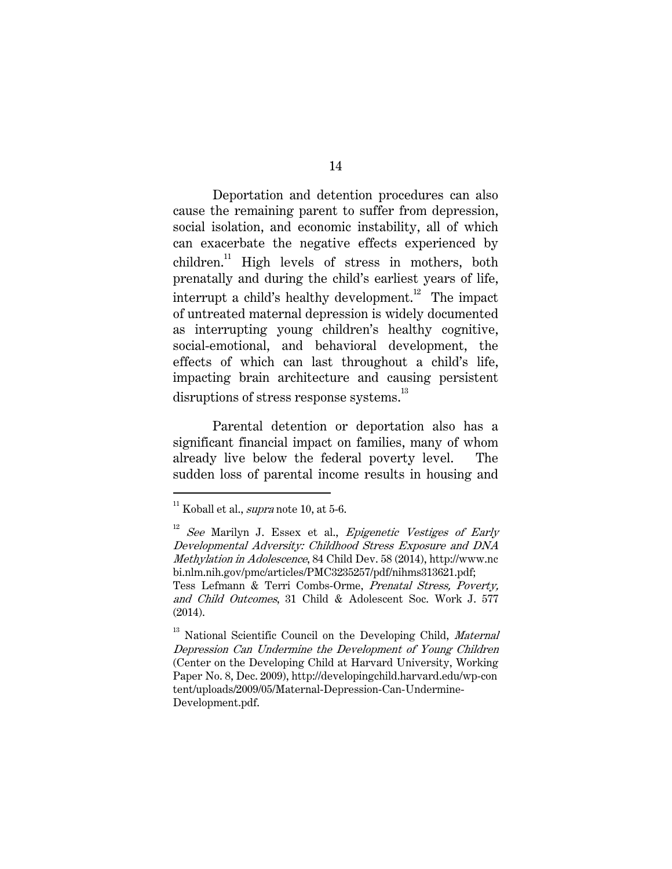Deportation and detention procedures can also cause the remaining parent to suffer from depression, social isolation, and economic instability, all of which can exacerbate the negative effects experienced by children.<sup>11</sup> High levels of stress in mothers, both prenatally and during the child's earliest years of life, interrupt a child's healthy development.<sup>12</sup> The impact of untreated maternal depression is widely documented as interrupting young children's healthy cognitive, social-emotional, and behavioral development, the effects of which can last throughout a child's life, impacting brain architecture and causing persistent disruptions of stress response systems.<sup>13</sup>

Parental detention or deportation also has a significant financial impact on families, many of whom already live below the federal poverty level. The sudden loss of parental income results in housing and

 $11$  Koball et al., *supra* note 10, at 5-6.

See Marilyn J. Essex et al., Epigenetic Vestiges of Early Developmental Adversity: Childhood Stress Exposure and DNA Methylation in Adolescence, 84 Child Dev. 58 (2014), http://www.nc bi.nlm.nih.gov/pmc/articles/PMC3235257/pdf/nihms313621.pdf; Tess Lefmann & Terri Combs-Orme, Prenatal Stress, Poverty,

and Child Outcomes, 31 Child & Adolescent Soc. Work J. 577 (2014).

<sup>&</sup>lt;sup>13</sup> National Scientific Council on the Developing Child, *Maternal* Depression Can Undermine the Development of Young Children (Center on the Developing Child at Harvard University, Working Paper No. 8, Dec. 2009), http://developingchild.harvard.edu/wp-con tent/uploads/2009/05/Maternal-Depression-Can-Undermine-Development.pdf.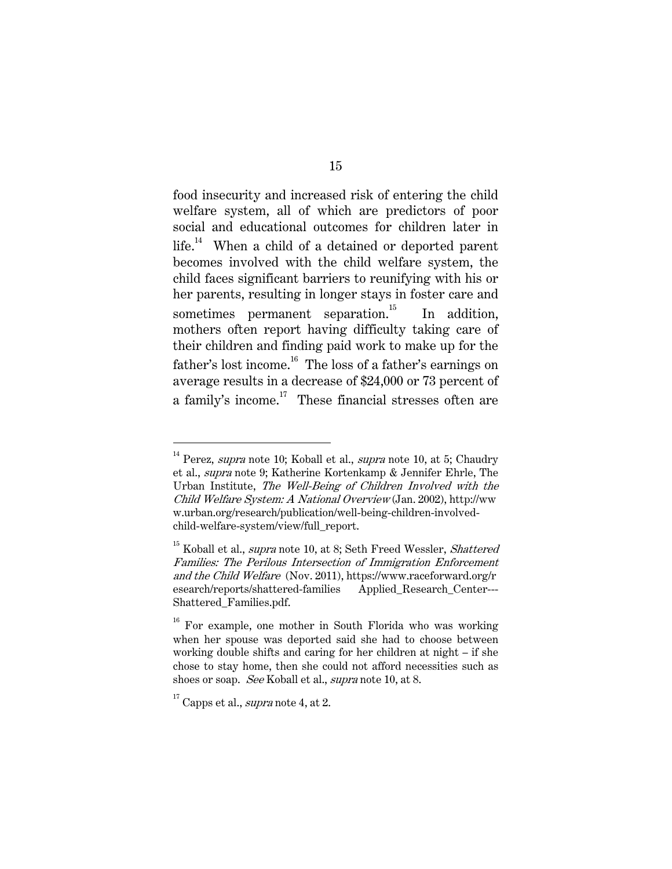food insecurity and increased risk of entering the child welfare system, all of which are predictors of poor social and educational outcomes for children later in life.<sup>14</sup> When a child of a detained or deported parent becomes involved with the child welfare system, the child faces significant barriers to reunifying with his or her parents, resulting in longer stays in foster care and sometimes permanent separation.<sup>15</sup> In addition, mothers often report having difficulty taking care of their children and finding paid work to make up for the father's lost income.<sup>16</sup> The loss of a father's earnings on average results in a decrease of \$24,000 or 73 percent of a family's income.<sup>17</sup> These financial stresses often are

 $14$  Perez, supra note 10; Koball et al., supra note 10, at 5; Chaudry et al., supra note 9; Katherine Kortenkamp & Jennifer Ehrle, The Urban Institute, The Well-Being of Children Involved with the Child Welfare System: A National Overview (Jan. 2002), http://ww w.urban.org/research/publication/well-being-children-involvedchild-welfare-system/view/full\_report.

<sup>&</sup>lt;sup>15</sup> Koball et al., *supra* note 10, at 8; Seth Freed Wessler, *Shattered* Families: The Perilous Intersection of Immigration Enforcement and the Child Welfare (Nov. 2011), https://www.raceforward.org/r esearch/reports/shattered-families Applied\_Research\_Center--- Shattered\_Families.pdf.

<sup>&</sup>lt;sup>16</sup> For example, one mother in South Florida who was working when her spouse was deported said she had to choose between working double shifts and caring for her children at night – if she chose to stay home, then she could not afford necessities such as shoes or soap. See Koball et al., *supra* note 10, at 8.

 $17$  Capps et al., *supra* note 4, at 2.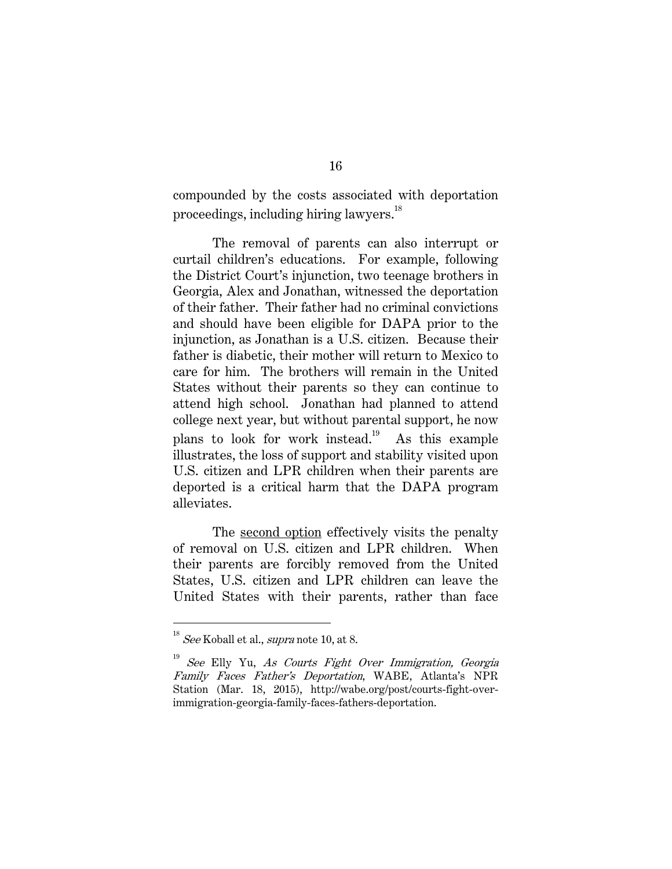compounded by the costs associated with deportation proceedings, including hiring lawyers.<sup>18</sup>

The removal of parents can also interrupt or curtail children's educations. For example, following the District Court's injunction, two teenage brothers in Georgia, Alex and Jonathan, witnessed the deportation of their father. Their father had no criminal convictions and should have been eligible for DAPA prior to the injunction, as Jonathan is a U.S. citizen. Because their father is diabetic, their mother will return to Mexico to care for him. The brothers will remain in the United States without their parents so they can continue to attend high school. Jonathan had planned to attend college next year, but without parental support, he now plans to look for work instead.<sup>19</sup> As this example illustrates, the loss of support and stability visited upon U.S. citizen and LPR children when their parents are deported is a critical harm that the DAPA program alleviates.

The second option effectively visits the penalty of removal on U.S. citizen and LPR children. When their parents are forcibly removed from the United States, U.S. citizen and LPR children can leave the United States with their parents, rather than face

 $18$  See Koball et al., *supra* note 10, at 8.

See Elly Yu, As Courts Fight Over Immigration, Georgia Family Faces Father's Deportation, WABE, Atlanta's NPR Station (Mar. 18, 2015), http://wabe.org/post/courts-fight-overimmigration-georgia-family-faces-fathers-deportation.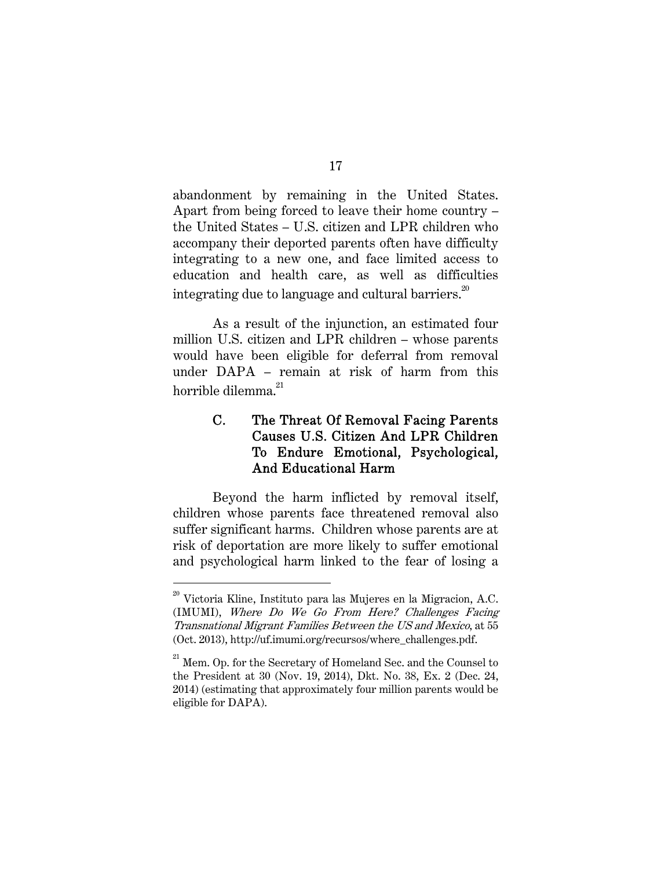abandonment by remaining in the United States. Apart from being forced to leave their home country – the United States – U.S. citizen and LPR children who accompany their deported parents often have difficulty integrating to a new one, and face limited access to education and health care, as well as difficulties integrating due to language and cultural barriers.<sup>20</sup>

As a result of the injunction, an estimated four million U.S. citizen and LPR children – whose parents would have been eligible for deferral from removal under DAPA – remain at risk of harm from this horrible dilemma $^{21}$ 

# C. The Threat Of Removal Facing Parents Causes U.S. Citizen And LPR Children To Endure Emotional, Psychological, And Educational Harm

Beyond the harm inflicted by removal itself, children whose parents face threatened removal also suffer significant harms. Children whose parents are at risk of deportation are more likely to suffer emotional and psychological harm linked to the fear of losing a

 $^{\rm 20}$  Victoria Kline, Instituto para las Mujeres en la Migracion, A.C. (IMUMI), Where Do We Go From Here? Challenges Facing Transnational Migrant Families Between the US and Mexico, at 55 (Oct. 2013), http://uf.imumi.org/recursos/where\_challenges.pdf.

 $^{\rm 21}$  Mem. Op. for the Secretary of Homeland Sec. and the Counsel to the President at 30 (Nov. 19, 2014), Dkt. No. 38, Ex. 2 (Dec. 24, 2014) (estimating that approximately four million parents would be eligible for DAPA).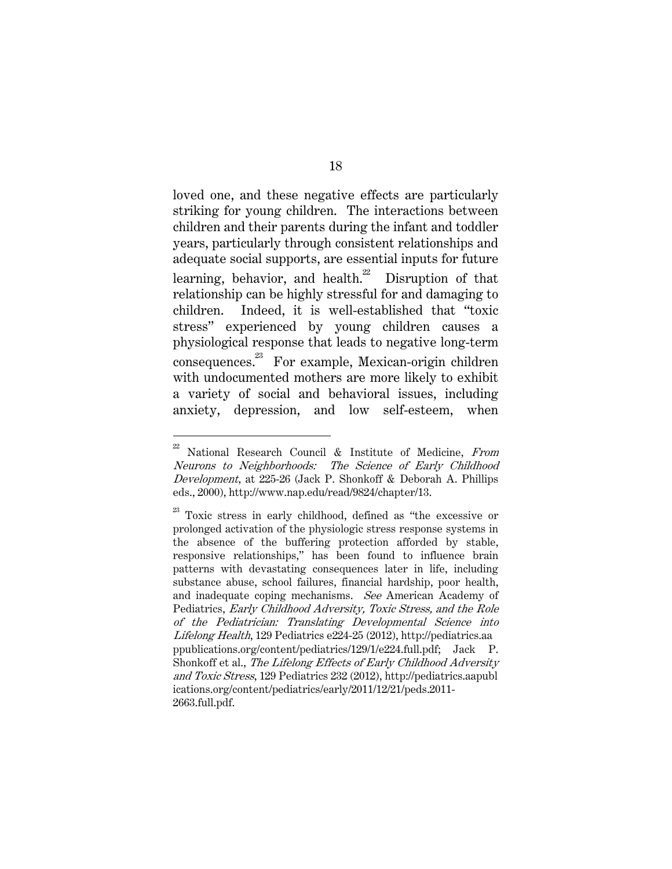loved one, and these negative effects are particularly striking for young children. The interactions between children and their parents during the infant and toddler years, particularly through consistent relationships and adequate social supports, are essential inputs for future learning, behavior, and health. $^{22}$  Disruption of that relationship can be highly stressful for and damaging to children. Indeed, it is well-established that "toxic stress" experienced by young children causes a physiological response that leads to negative long-term consequences.<sup>23</sup> For example, Mexican-origin children with undocumented mothers are more likely to exhibit a variety of social and behavioral issues, including anxiety, depression, and low self-esteem, when

 $22$  National Research Council & Institute of Medicine, From Neurons to Neighborhoods: The Science of Early Childhood Development, at 225-26 (Jack P. Shonkoff & Deborah A. Phillips eds., 2000), http://www.nap.edu/read/9824/chapter/13.

 $^{23}$  Toxic stress in early childhood, defined as "the excessive or prolonged activation of the physiologic stress response systems in the absence of the buffering protection afforded by stable, responsive relationships," has been found to influence brain patterns with devastating consequences later in life, including substance abuse, school failures, financial hardship, poor health, and inadequate coping mechanisms. See American Academy of Pediatrics, Early Childhood Adversity, Toxic Stress, and the Role of the Pediatrician: Translating Developmental Science into Lifelong Health, 129 Pediatrics e224-25 (2012), http://pediatrics.aa ppublications.org/content/pediatrics/129/1/e224.full.pdf; Jack P. Shonkoff et al., The Lifelong Effects of Early Childhood Adversity and Toxic Stress, 129 Pediatrics 232 (2012), http://pediatrics.aapubl ications.org/content/pediatrics/early/2011/12/21/peds.2011- 2663.full.pdf.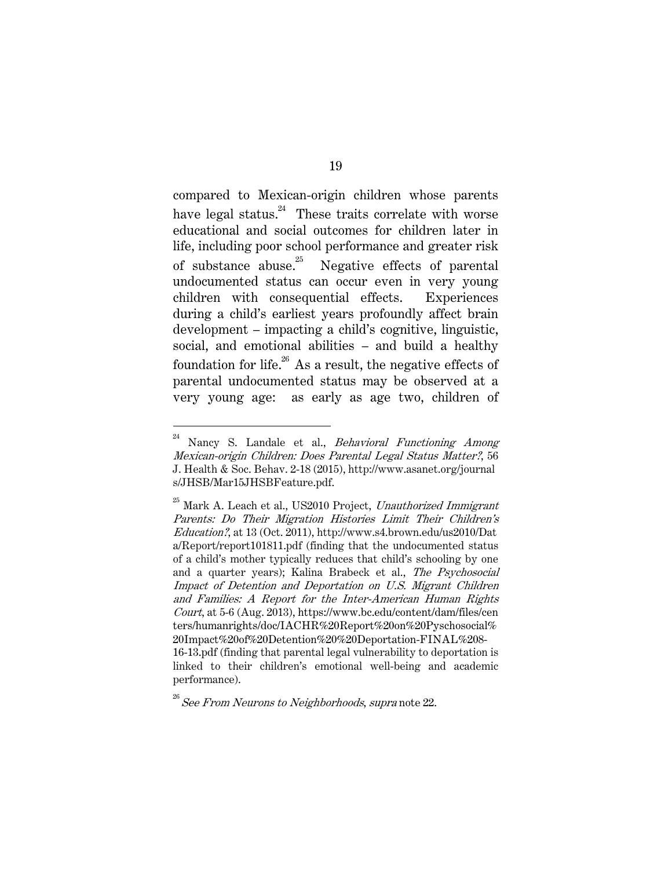compared to Mexican-origin children whose parents have legal status.<sup>24</sup> These traits correlate with worse educational and social outcomes for children later in life, including poor school performance and greater risk of substance abuse.<sup>25</sup> Negative effects of parental undocumented status can occur even in very young children with consequential effects. Experiences during a child's earliest years profoundly affect brain development – impacting a child's cognitive, linguistic, social, and emotional abilities – and build a healthy foundation for life. $^{26}$  As a result, the negative effects of parental undocumented status may be observed at a very young age: as early as age two, children of

 $24$  Nancy S. Landale et al., *Behavioral Functioning Among* Mexican-origin Children: Does Parental Legal Status Matter?, 56 J. Health & Soc. Behav. 2-18 (2015), http://www.asanet.org/journal s/JHSB/Mar15JHSBFeature.pdf.

 $^{25}$  Mark A. Leach et al., US2010 Project, Unauthorized Immigrant Parents: Do Their Migration Histories Limit Their Children's Education?, at 13 (Oct. 2011), http://www.s4.brown.edu/us2010/Dat a/Report/report101811.pdf (finding that the undocumented status of a child's mother typically reduces that child's schooling by one and a quarter years); Kalina Brabeck et al., The Psychosocial Impact of Detention and Deportation on U.S. Migrant Children and Families: A Report for the Inter-American Human Rights Court, at 5-6 (Aug. 2013), https://www.bc.edu/content/dam/files/cen ters/humanrights/doc/IACHR%20Report%20on%20Pyschosocial% 20Impact%20of%20Detention%20%20Deportation-FINAL%208- 16-13.pdf (finding that parental legal vulnerability to deportation is linked to their children's emotional well-being and academic performance).

 $^{26}$  See From Neurons to Neighborhoods, supra note 22.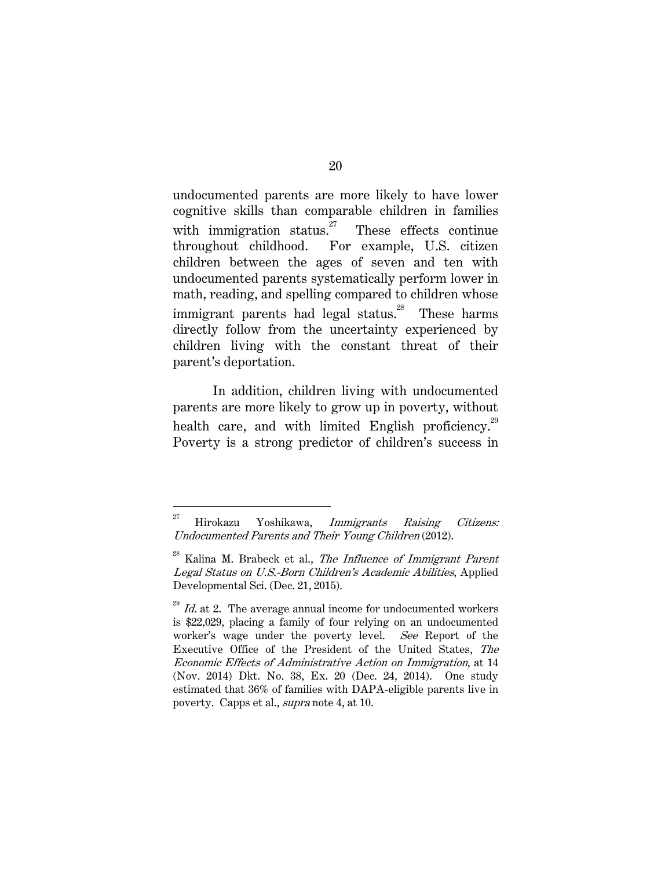undocumented parents are more likely to have lower cognitive skills than comparable children in families with immigration status. $27$  These effects continue throughout childhood. For example, U.S. citizen children between the ages of seven and ten with undocumented parents systematically perform lower in math, reading, and spelling compared to children whose immigrant parents had legal status.<sup>28</sup> These harms directly follow from the uncertainty experienced by children living with the constant threat of their parent's deportation.

In addition, children living with undocumented parents are more likely to grow up in poverty, without health care, and with limited English proficiency.<sup>29</sup> Poverty is a strong predictor of children's success in

 $27$  Hirokazu Yoshikawa, Immigrants Raising Citizens: Undocumented Parents and Their Young Children (2012).

 $28$  Kalina M. Brabeck et al., The Influence of Immigrant Parent Legal Status on U.S.-Born Children's Academic Abilities, Applied Developmental Sci. (Dec. 21, 2015).

 $^{29}$  *Id.* at 2. The average annual income for undocumented workers is \$22,029, placing a family of four relying on an undocumented worker's wage under the poverty level. See Report of the Executive Office of the President of the United States, The Economic Effects of Administrative Action on Immigration, at 14 (Nov. 2014) Dkt. No. 38, Ex. 20 (Dec. 24, 2014). One study estimated that 36% of families with DAPA-eligible parents live in poverty. Capps et al., supra note 4, at 10.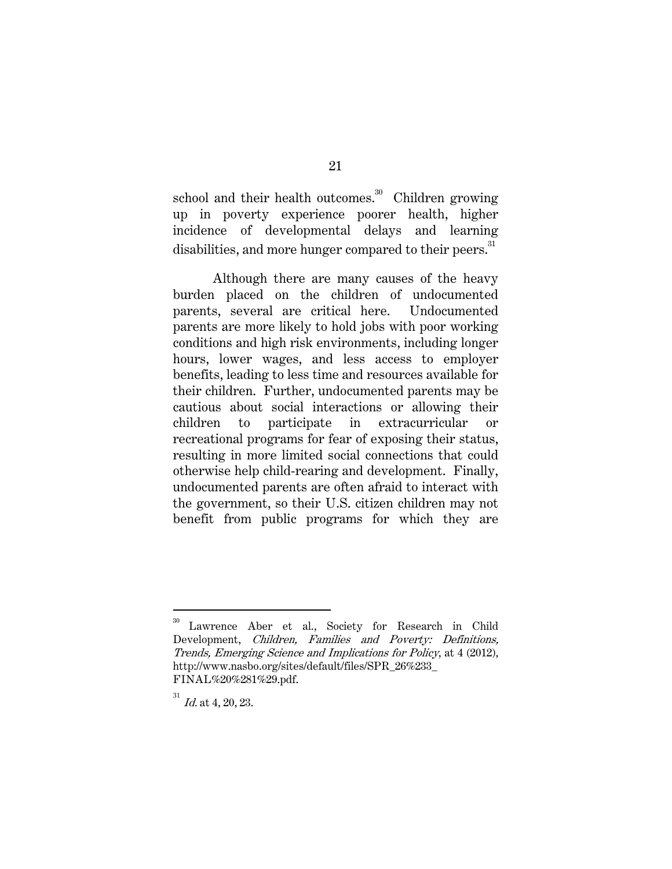school and their health outcomes. $30$  Children growing up in poverty experience poorer health, higher incidence of developmental delays and learning disabilities, and more hunger compared to their peers.<sup>31</sup>

Although there are many causes of the heavy burden placed on the children of undocumented parents, several are critical here. Undocumented parents are more likely to hold jobs with poor working conditions and high risk environments, including longer hours, lower wages, and less access to employer benefits, leading to less time and resources available for their children. Further, undocumented parents may be cautious about social interactions or allowing their children to participate in extracurricular or recreational programs for fear of exposing their status, resulting in more limited social connections that could otherwise help child-rearing and development. Finally, undocumented parents are often afraid to interact with the government, so their U.S. citizen children may not benefit from public programs for which they are

Lawrence Aber et al., Society for Research in Child Development, Children, Families and Poverty: Definitions, Trends, Emerging Science and Implications for Policy, at 4 (2012), http://www.nasbo.org/sites/default/files/SPR\_26%233\_ FINAL%20%281%29.pdf.

 $^{31}$  *Id.* at 4, 20, 23.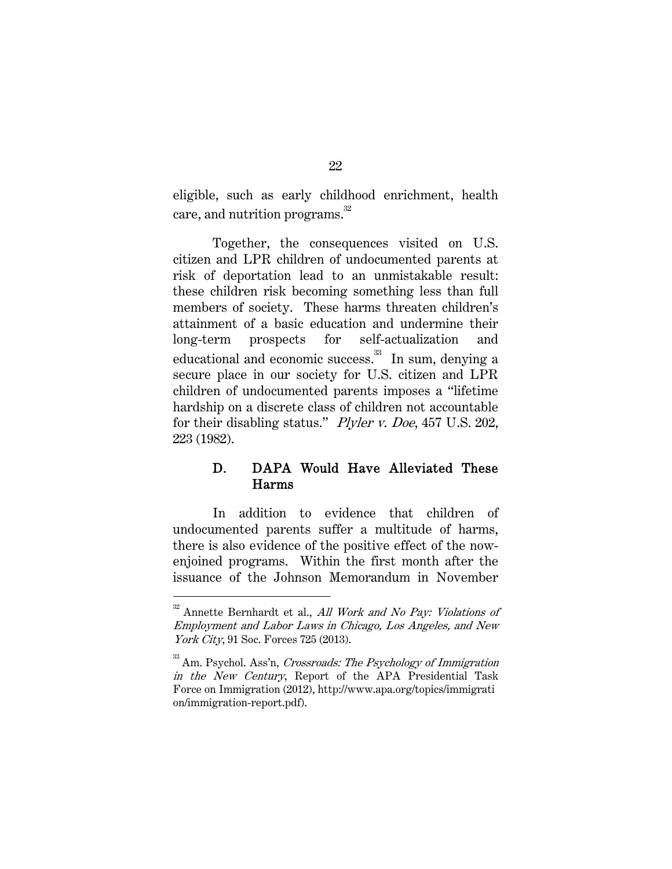eligible, such as early childhood enrichment, health care, and nutrition programs.<sup>32</sup>

Together, the consequences visited on U.S. citizen and LPR children of undocumented parents at risk of deportation lead to an unmistakable result: these children risk becoming something less than full members of society. These harms threaten children's attainment of a basic education and undermine their long-term prospects for self-actualization and educational and economic success.33 In sum, denying a secure place in our society for U.S. citizen and LPR children of undocumented parents imposes a "lifetime hardship on a discrete class of children not accountable for their disabling status." Plyler v. Doe, 457 U.S. 202, 223 (1982).

## D. DAPA Would Have Alleviated These Harms

In addition to evidence that children of undocumented parents suffer a multitude of harms, there is also evidence of the positive effect of the nowenjoined programs. Within the first month after the issuance of the Johnson Memorandum in November

 $32$  Annette Bernhardt et al., All Work and No Pay: Violations of Employment and Labor Laws in Chicago, Los Angeles, and New York City, 91 Soc. Forces 725 (2013).

 $33$  Am. Psychol. Ass'n, Crossroads: The Psychology of Immigration in the New Century, Report of the APA Presidential Task Force on Immigration (2012), http://www.apa.org/topics/immigrati on/immigration-report.pdf).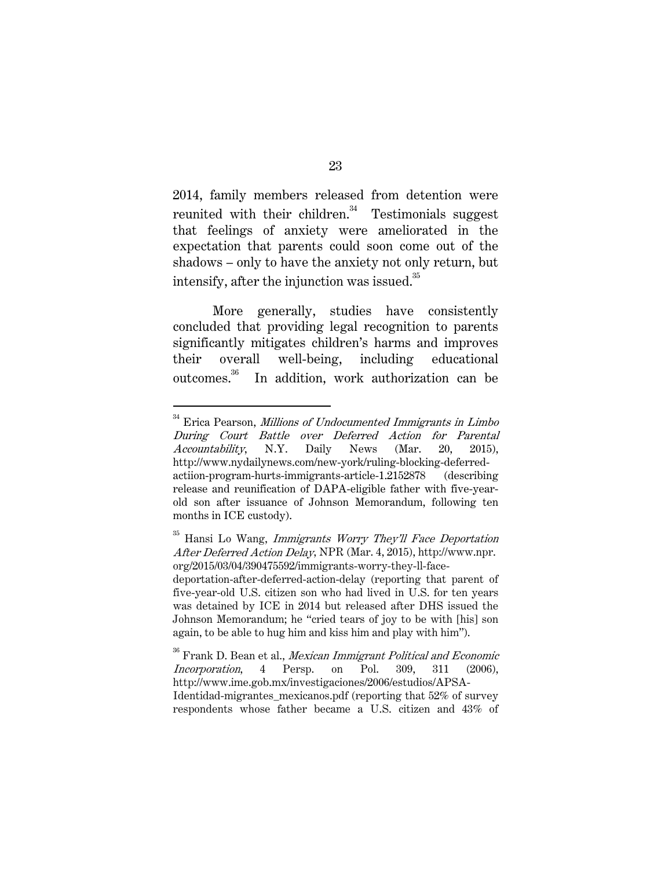2014, family members released from detention were reunited with their children. $34$  Testimonials suggest that feelings of anxiety were ameliorated in the expectation that parents could soon come out of the shadows – only to have the anxiety not only return, but intensify, after the injunction was issued.<sup>35</sup>

More generally, studies have consistently concluded that providing legal recognition to parents significantly mitigates children's harms and improves their overall well-being, including educational outcomes.36 In addition, work authorization can be

 $34$  Erica Pearson, Millions of Undocumented Immigrants in Limbo During Court Battle over Deferred Action for Parental Accountability, N.Y. Daily News (Mar. 20, 2015), http://www.nydailynews.com/new-york/ruling-blocking-deferredactiion-program-hurts-immigrants-article-1.2152878 (describing release and reunification of DAPA-eligible father with five-yearold son after issuance of Johnson Memorandum, following ten months in ICE custody).

Hansi Lo Wang, Immigrants Worry They'll Face Deportation After Deferred Action Delay, NPR (Mar. 4, 2015), http://www.npr. org/2015/03/04/390475592/immigrants-worry-they-ll-face-

deportation-after-deferred-action-delay (reporting that parent of five-year-old U.S. citizen son who had lived in U.S. for ten years was detained by ICE in 2014 but released after DHS issued the Johnson Memorandum; he "cried tears of joy to be with [his] son again, to be able to hug him and kiss him and play with him").

 $\rm{^{36}}$  Frank D. Bean et al., Mexican Immigrant Political and Economic Incorporation, 4 Persp. on Pol. 309, 311 (2006), http://www.ime.gob.mx/investigaciones/2006/estudios/APSA-Identidad-migrantes mexicanos.pdf (reporting that 52% of survey respondents whose father became a U.S. citizen and 43% of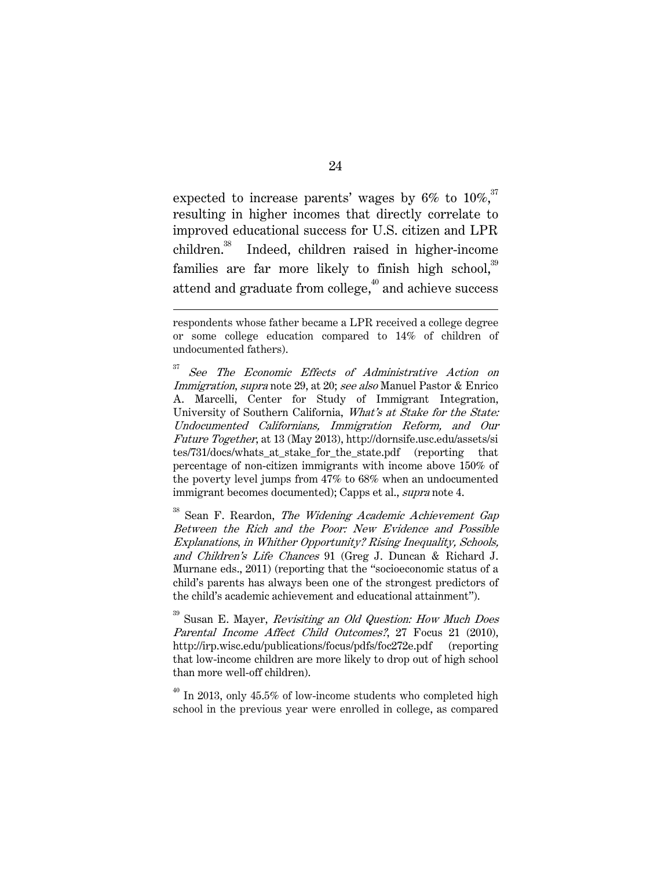expected to increase parents' wages by  $6\%$  to  $10\%$ ,<sup>37</sup> resulting in higher incomes that directly correlate to improved educational success for U.S. citizen and LPR children.38 Indeed, children raised in higher-income families are far more likely to finish high school,<sup>39</sup> attend and graduate from college, $40$  and achieve success

 $\overline{a}$ 

 $38$  Sean F. Reardon, *The Widening Academic Achievement Gap* Between the Rich and the Poor: New Evidence and Possible Explanations, in Whither Opportunity? Rising Inequality, Schools, and Children's Life Chances 91 (Greg J. Duncan & Richard J. Murnane eds., 2011) (reporting that the "socioeconomic status of a child's parents has always been one of the strongest predictors of the child's academic achievement and educational attainment").

<sup>39</sup> Susan E. Mayer, *Revisiting an Old Question: How Much Does* Parental Income Affect Child Outcomes?, 27 Focus 21 (2010), http://irp.wisc.edu/publications/focus/pdfs/foc272e.pdf (reporting that low-income children are more likely to drop out of high school than more well-off children).

 $^{40}$  In 2013, only 45.5% of low-income students who completed high school in the previous year were enrolled in college, as compared

respondents whose father became a LPR received a college degree or some college education compared to 14% of children of undocumented fathers).

<sup>&</sup>lt;sup>37</sup> See The Economic Effects of Administrative Action on Immigration, supra note 29, at 20; see also Manuel Pastor & Enrico A. Marcelli, Center for Study of Immigrant Integration, University of Southern California, What's at Stake for the State: Undocumented Californians, Immigration Reform, and Our Future Together, at 13 (May 2013), http://dornsife.usc.edu/assets/si tes/731/docs/whats\_at\_stake\_for\_the\_state.pdf (reporting that percentage of non-citizen immigrants with income above 150% of the poverty level jumps from 47% to 68% when an undocumented immigrant becomes documented); Capps et al., *supra* note 4.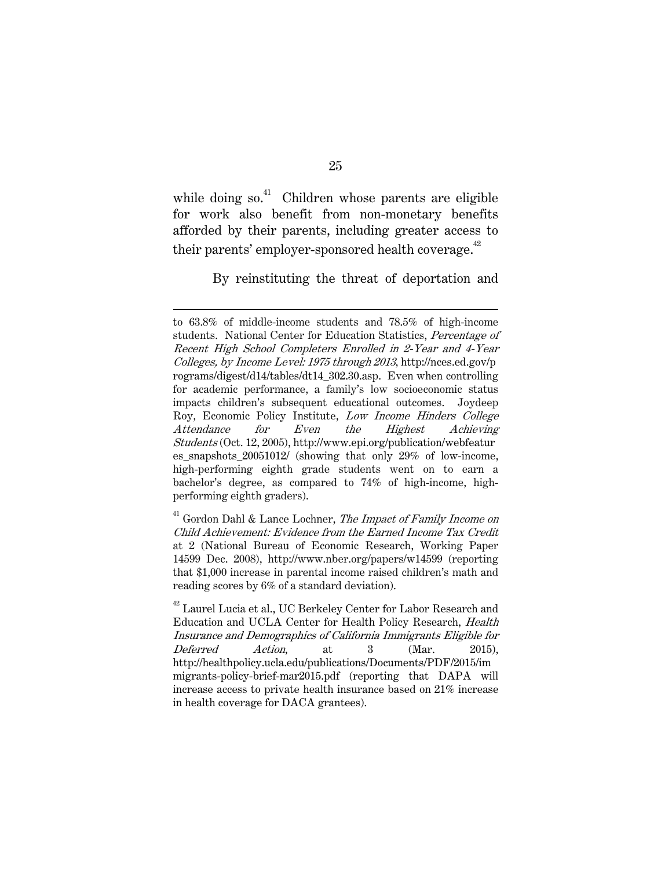while doing so. $41$  Children whose parents are eligible for work also benefit from non-monetary benefits afforded by their parents, including greater access to their parents' employer-sponsored health coverage.<sup>42</sup>

 $\overline{a}$ 

By reinstituting the threat of deportation and

 $41$  Gordon Dahl & Lance Lochner, The Impact of Family Income on Child Achievement: Evidence from the Earned Income Tax Credit at 2 (National Bureau of Economic Research, Working Paper 14599 Dec. 2008), http://www.nber.org/papers/w14599 (reporting that \$1,000 increase in parental income raised children's math and reading scores by 6% of a standard deviation).

to 63.8% of middle-income students and 78.5% of high-income students. National Center for Education Statistics, Percentage of Recent High School Completers Enrolled in 2-Year and 4-Year Colleges, by Income Level: 1975 through 2013, http://nces.ed.gov/p rograms/digest/d14/tables/dt14\_302.30.asp. Even when controlling for academic performance, a family's low socioeconomic status impacts children's subsequent educational outcomes. Joydeep Roy, Economic Policy Institute, Low Income Hinders College Attendance for Even the Highest Achieving Students (Oct. 12, 2005), http://www.epi.org/publication/webfeatur es\_snapshots\_20051012/ (showing that only 29% of low-income, high-performing eighth grade students went on to earn a bachelor's degree, as compared to 74% of high-income, highperforming eighth graders).

<sup>&</sup>lt;sup>42</sup> Laurel Lucia et al., UC Berkeley Center for Labor Research and Education and UCLA Center for Health Policy Research, Health Insurance and Demographics of California Immigrants Eligible for Deferred Action, at 3 (Mar. 2015), http://healthpolicy.ucla.edu/publications/Documents/PDF/2015/im migrants-policy-brief-mar2015.pdf (reporting that DAPA will increase access to private health insurance based on 21% increase in health coverage for DACA grantees).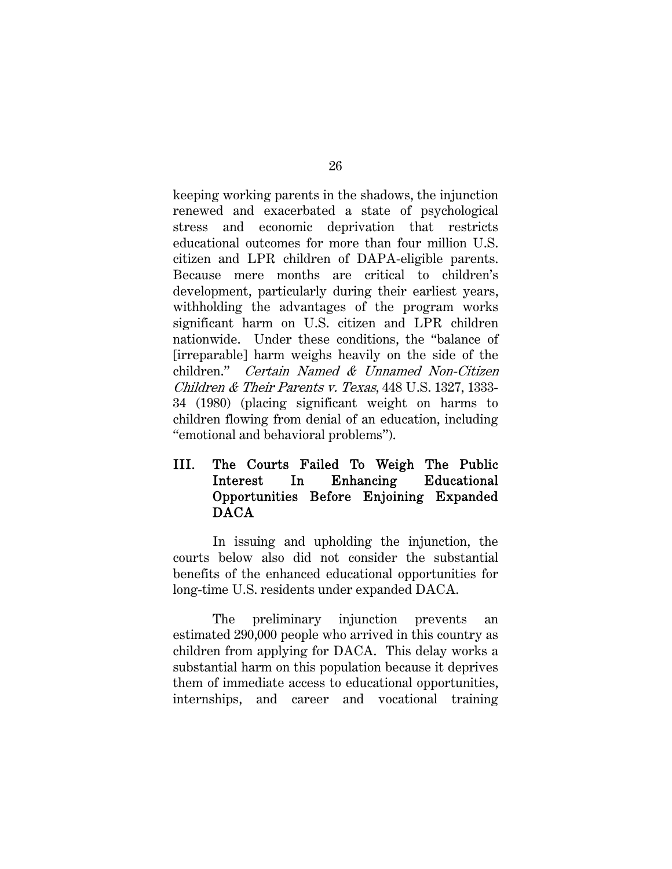keeping working parents in the shadows, the injunction renewed and exacerbated a state of psychological stress and economic deprivation that restricts educational outcomes for more than four million U.S. citizen and LPR children of DAPA-eligible parents. Because mere months are critical to children's development, particularly during their earliest years, withholding the advantages of the program works significant harm on U.S. citizen and LPR children nationwide. Under these conditions, the "balance of [irreparable] harm weighs heavily on the side of the children." Certain Named & Unnamed Non-Citizen Children & Their Parents v. Texas, 448 U.S. 1327, 1333- 34 (1980) (placing significant weight on harms to children flowing from denial of an education, including "emotional and behavioral problems").

## III. The Courts Failed To Weigh The Public Interest In Enhancing Educational Opportunities Before Enjoining Expanded DACA

In issuing and upholding the injunction, the courts below also did not consider the substantial benefits of the enhanced educational opportunities for long-time U.S. residents under expanded DACA.

The preliminary injunction prevents an estimated 290,000 people who arrived in this country as children from applying for DACA. This delay works a substantial harm on this population because it deprives them of immediate access to educational opportunities, internships, and career and vocational training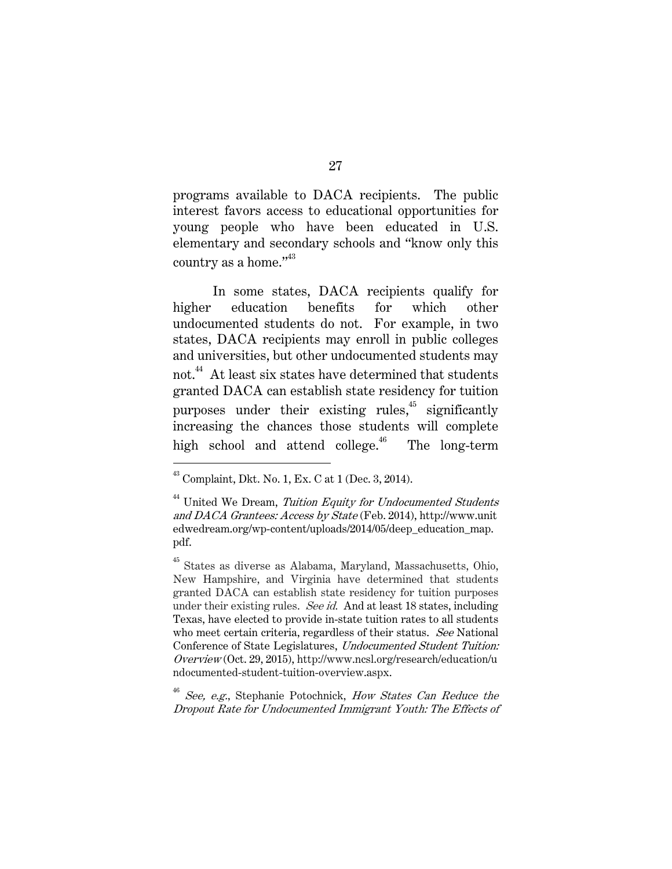programs available to DACA recipients. The public interest favors access to educational opportunities for young people who have been educated in U.S. elementary and secondary schools and "know only this country as a home."<sup>43</sup>

In some states, DACA recipients qualify for higher education benefits for which other undocumented students do not. For example, in two states, DACA recipients may enroll in public colleges and universities, but other undocumented students may not.<sup>44</sup> At least six states have determined that students granted DACA can establish state residency for tuition purposes under their existing rules, $45$  significantly increasing the chances those students will complete high school and attend college.<sup>46</sup> The long-term

 $43$  Complaint, Dkt. No. 1, Ex. C at 1 (Dec. 3, 2014).

 $44$  United We Dream, Tuition Equity for Undocumented Students and DACA Grantees: Access by State (Feb. 2014), http://www.unit edwedream.org/wp-content/uploads/2014/05/deep\_education\_map. pdf.

<sup>45</sup> States as diverse as Alabama, Maryland, Massachusetts, Ohio, New Hampshire, and Virginia have determined that students granted DACA can establish state residency for tuition purposes under their existing rules. See id. And at least 18 states, including Texas, have elected to provide in-state tuition rates to all students who meet certain criteria, regardless of their status. See National Conference of State Legislatures, Undocumented Student Tuition: Overview (Oct. 29, 2015), http://www.ncsl.org/research/education/u ndocumented-student-tuition-overview.aspx.

 $^{46}$  See, e.g., Stephanie Potochnick, How States Can Reduce the Dropout Rate for Undocumented Immigrant Youth: The Effects of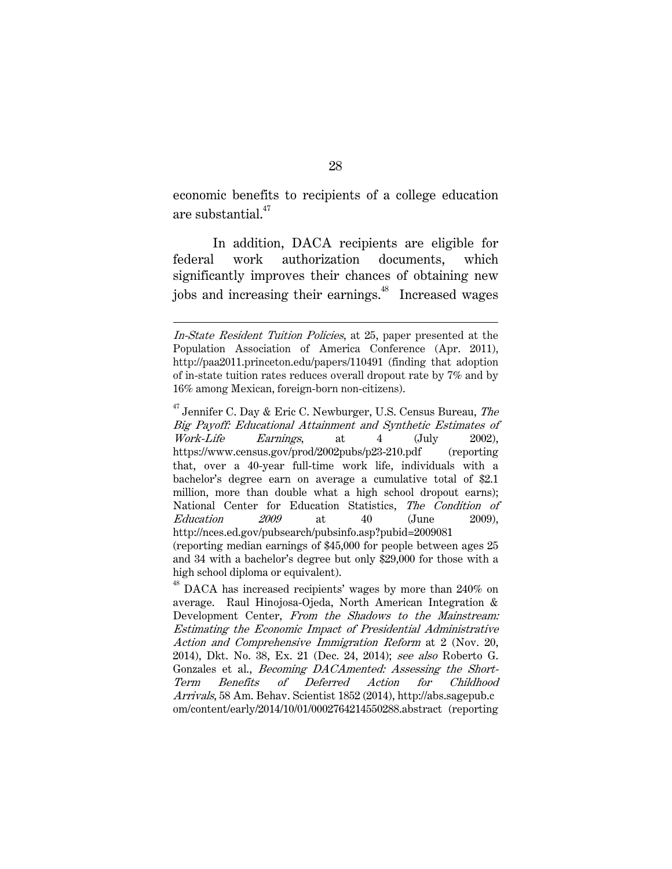economic benefits to recipients of a college education are substantial. $47$ 

In addition, DACA recipients are eligible for federal work authorization documents, which significantly improves their chances of obtaining new jobs and increasing their earnings.<sup>48</sup> Increased wages

In-State Resident Tuition Policies, at 25, paper presented at the Population Association of America Conference (Apr. 2011), http://paa2011.princeton.edu/papers/110491 (finding that adoption of in-state tuition rates reduces overall dropout rate by 7% and by 16% among Mexican, foreign-born non-citizens).

 $47$  Jennifer C. Day & Eric C. Newburger, U.S. Census Bureau, The Big Payoff: Educational Attainment and Synthetic Estimates of Work-Life Earnings, at 4 (July 2002), https://www.census.gov/prod/2002pubs/p23-210.pdf (reporting that, over a 40-year full-time work life, individuals with a bachelor's degree earn on average a cumulative total of \$2.1 million, more than double what a high school dropout earns); National Center for Education Statistics, The Condition of  $Education$   $2009$  at  $40$  (June  $2009$ ), http://nces.ed.gov/pubsearch/pubsinfo.asp?pubid=2009081 (reporting median earnings of \$45,000 for people between ages 25 and 34 with a bachelor's degree but only \$29,000 for those with a high school diploma or equivalent).

<sup>&</sup>lt;sup>48</sup> DACA has increased recipients' wages by more than 240% on average. Raul Hinojosa-Ojeda, North American Integration & Development Center, From the Shadows to the Mainstream: Estimating the Economic Impact of Presidential Administrative Action and Comprehensive Immigration Reform at 2 (Nov. 20, 2014), Dkt. No. 38, Ex. 21 (Dec. 24, 2014); see also Roberto G. Gonzales et al., Becoming DACAmented: Assessing the Short-Term Benefits of Deferred Action for Childhood Arrivals, 58 Am. Behav. Scientist 1852 (2014), http://abs.sagepub.c om/content/early/2014/10/01/0002764214550288.abstract (reporting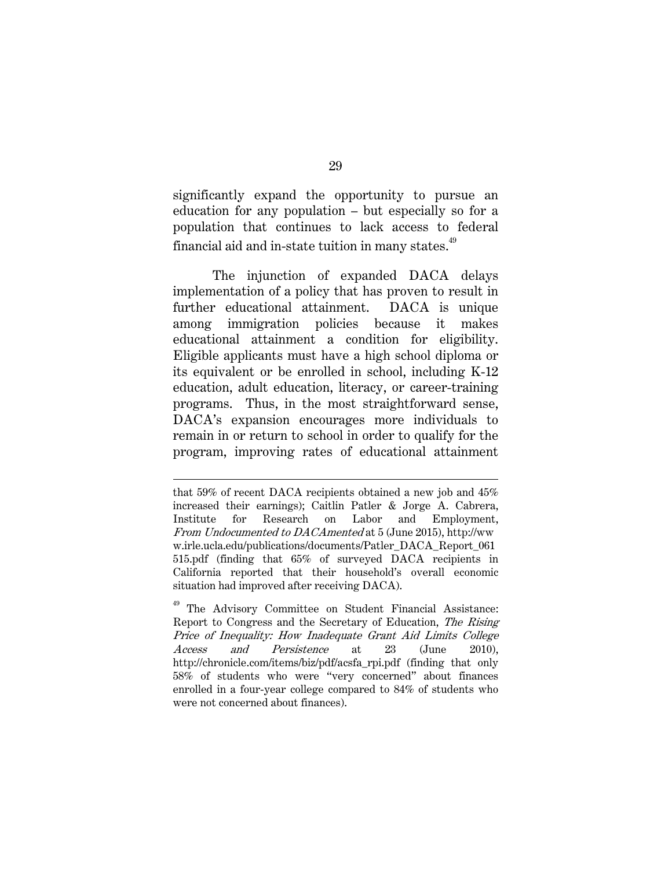significantly expand the opportunity to pursue an education for any population – but especially so for a population that continues to lack access to federal financial aid and in-state tuition in many states.  $^\mathrm{49}$ 

The injunction of expanded DACA delays implementation of a policy that has proven to result in further educational attainment. DACA is unique among immigration policies because it makes educational attainment a condition for eligibility. Eligible applicants must have a high school diploma or its equivalent or be enrolled in school, including K-12 education, adult education, literacy, or career-training programs. Thus, in the most straightforward sense, DACA's expansion encourages more individuals to remain in or return to school in order to qualify for the program, improving rates of educational attainment

that 59% of recent DACA recipients obtained a new job and 45% increased their earnings); Caitlin Patler & Jorge A. Cabrera, Institute for Research on Labor and Employment, From Undocumented to DACAmented at 5 (June 2015), http://ww w.irle.ucla.edu/publications/documents/Patler\_DACA\_Report\_061 515.pdf (finding that 65% of surveyed DACA recipients in California reported that their household's overall economic situation had improved after receiving DACA).

The Advisory Committee on Student Financial Assistance: Report to Congress and the Secretary of Education, The Rising Price of Inequality: How Inadequate Grant Aid Limits College Access and Persistence at 23 (June 2010), http://chronicle.com/items/biz/pdf/acsfa\_rpi.pdf (finding that only 58% of students who were "very concerned" about finances enrolled in a four-year college compared to 84% of students who were not concerned about finances).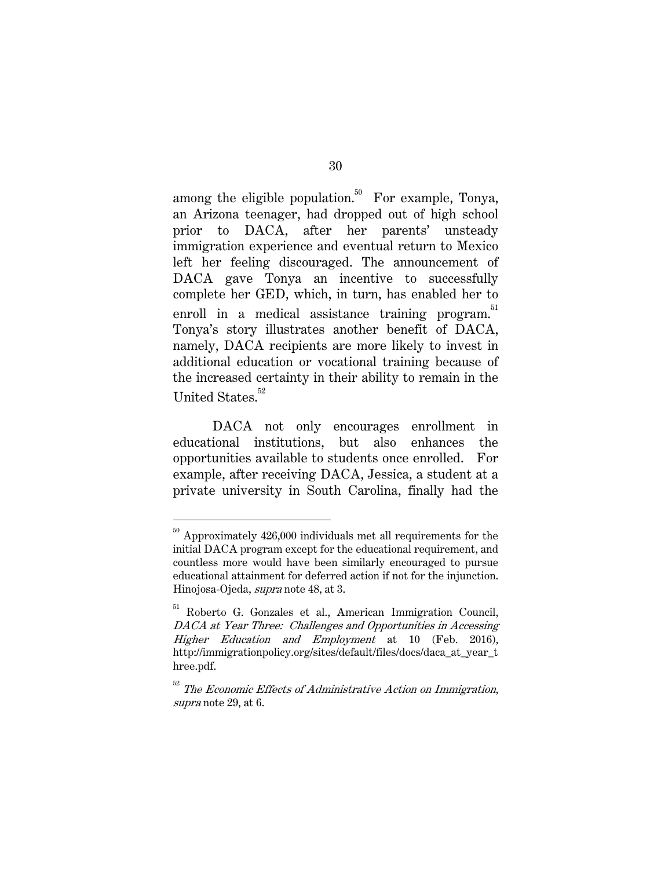among the eligible population.<sup>50</sup> For example, Tonya, an Arizona teenager, had dropped out of high school prior to DACA, after her parents' unsteady immigration experience and eventual return to Mexico left her feeling discouraged. The announcement of DACA gave Tonya an incentive to successfully complete her GED, which, in turn, has enabled her to enroll in a medical assistance training program.<sup>51</sup> Tonya's story illustrates another benefit of DACA, namely, DACA recipients are more likely to invest in additional education or vocational training because of the increased certainty in their ability to remain in the United States.<sup>52</sup>

DACA not only encourages enrollment in educational institutions, but also enhances the opportunities available to students once enrolled. For example, after receiving DACA, Jessica, a student at a private university in South Carolina, finally had the

 $^{50}$  Approximately 426,000 individuals met all requirements for the  $\,$ initial DACA program except for the educational requirement, and countless more would have been similarly encouraged to pursue educational attainment for deferred action if not for the injunction. Hinojosa-Ojeda, supra note 48, at 3.

<sup>51</sup> Roberto G. Gonzales et al., American Immigration Council, DACA at Year Three: Challenges and Opportunities in Accessing Higher Education and Employment at 10 (Feb. 2016), http://immigrationpolicy.org/sites/default/files/docs/daca\_at\_year\_t hree.pdf.

 $52$  The Economic Effects of Administrative Action on Immigration, supra note 29, at 6.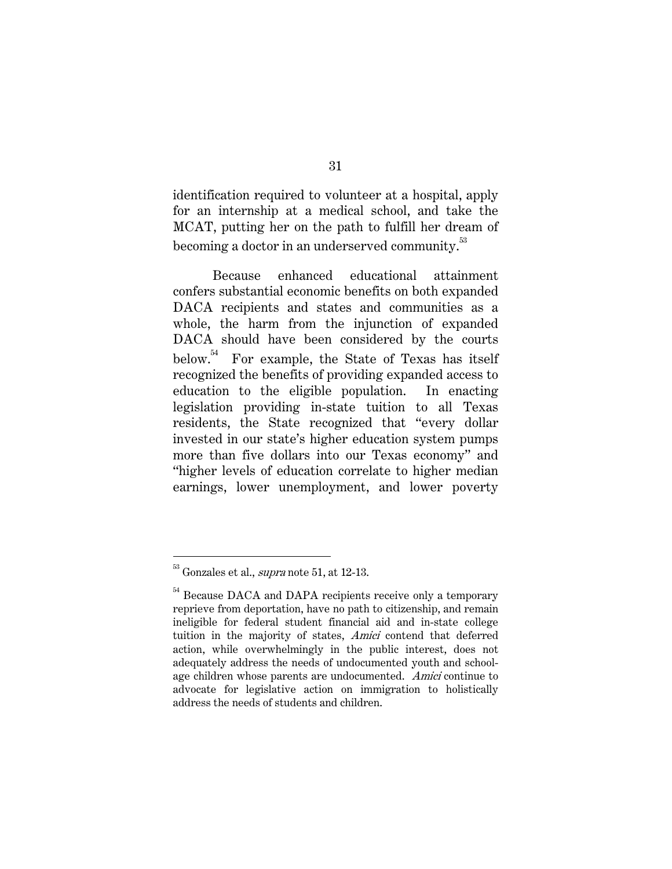identification required to volunteer at a hospital, apply for an internship at a medical school, and take the MCAT, putting her on the path to fulfill her dream of becoming a doctor in an underserved community.<sup>53</sup>

Because enhanced educational attainment confers substantial economic benefits on both expanded DACA recipients and states and communities as a whole, the harm from the injunction of expanded DACA should have been considered by the courts below.<sup>54</sup> For example, the State of Texas has itself recognized the benefits of providing expanded access to education to the eligible population. In enacting legislation providing in-state tuition to all Texas residents, the State recognized that "every dollar invested in our state's higher education system pumps more than five dollars into our Texas economy" and "higher levels of education correlate to higher median earnings, lower unemployment, and lower poverty

 $53$  Gonzales et al., *supra* note 51, at 12-13.

<sup>&</sup>lt;sup>54</sup> Because DACA and DAPA recipients receive only a temporary reprieve from deportation, have no path to citizenship, and remain ineligible for federal student financial aid and in-state college tuition in the majority of states, Amici contend that deferred action, while overwhelmingly in the public interest, does not adequately address the needs of undocumented youth and schoolage children whose parents are undocumented. Amici continue to advocate for legislative action on immigration to holistically address the needs of students and children.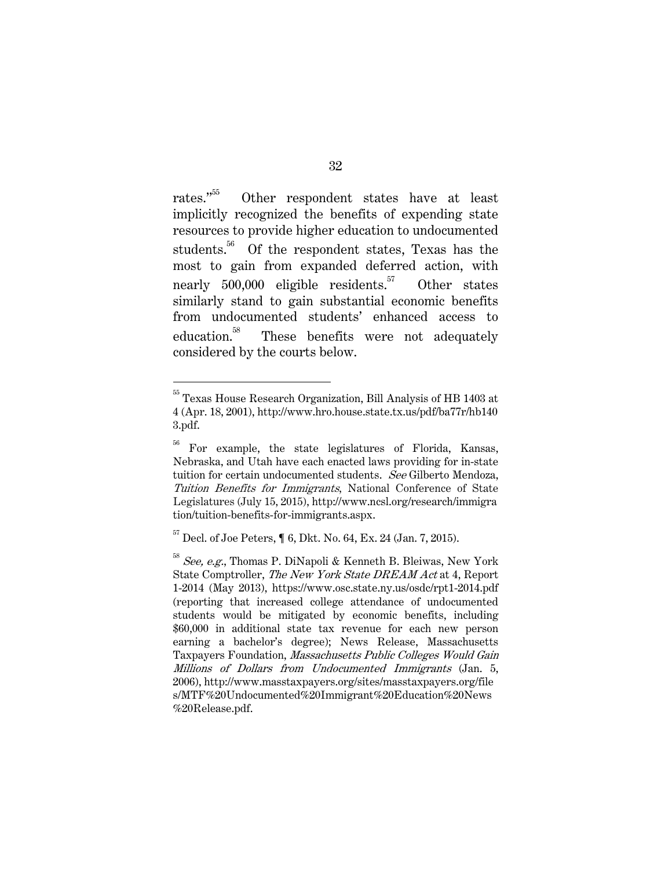rates."55 Other respondent states have at least implicitly recognized the benefits of expending state resources to provide higher education to undocumented students.<sup>56</sup> Of the respondent states, Texas has the most to gain from expanded deferred action, with nearly  $500,000$  eligible residents.<sup>57</sup> Other states similarly stand to gain substantial economic benefits from undocumented students' enhanced access to education.<sup>58</sup> These benefits were not adequately considered by the courts below.

<sup>&</sup>lt;sup>55</sup> Texas House Research Organization, Bill Analysis of HB 1403 at 4 (Apr. 18, 2001), http://www.hro.house.state.tx.us/pdf/ba77r/hb140 3.pdf.

<sup>&</sup>lt;sup>56</sup> For example, the state legislatures of Florida, Kansas, Nebraska, and Utah have each enacted laws providing for in-state tuition for certain undocumented students. See Gilberto Mendoza, Tuition Benefits for Immigrants, National Conference of State Legislatures (July 15, 2015), http://www.ncsl.org/research/immigra tion/tuition-benefits-for-immigrants.aspx.

 $^{57}$  Decl. of Joe Peters,  $\P$  6, Dkt. No. 64, Ex. 24 (Jan. 7, 2015).

 $58$  See, e.g., Thomas P. DiNapoli & Kenneth B. Bleiwas, New York State Comptroller, The New York State DREAM Act at 4, Report 1-2014 (May 2013), https://www.osc.state.ny.us/osdc/rpt1-2014.pdf (reporting that increased college attendance of undocumented students would be mitigated by economic benefits, including \$60,000 in additional state tax revenue for each new person earning a bachelor's degree); News Release, Massachusetts Taxpayers Foundation, Massachusetts Public Colleges Would Gain Millions of Dollars from Undocumented Immigrants (Jan. 5, 2006), http://www.masstaxpayers.org/sites/masstaxpayers.org/file s/MTF%20Undocumented%20Immigrant%20Education%20News %20Release.pdf.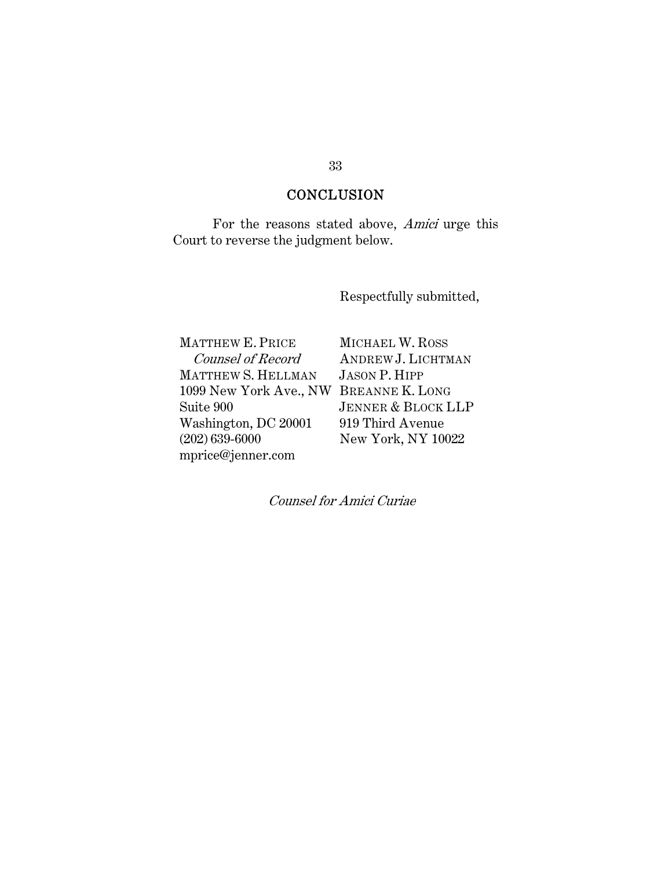# **CONCLUSION**

 For the reasons stated above, Amici urge this Court to reverse the judgment below.

Respectfully submitted,

MATTHEW E. PRICE Counsel of Record MATTHEW S. HELLMAN 1099 New York Ave., NW BREANNE K. LONG Suite 900 Washington, DC 20001 (202) 639-6000 mprice@jenner.com

MICHAEL W. ROSS ANDREW J. LICHTMAN JASON P. HIPP JENNER & BLOCK LLP 919 Third Avenue New York, NY 10022

Counsel for Amici Curiae

### 33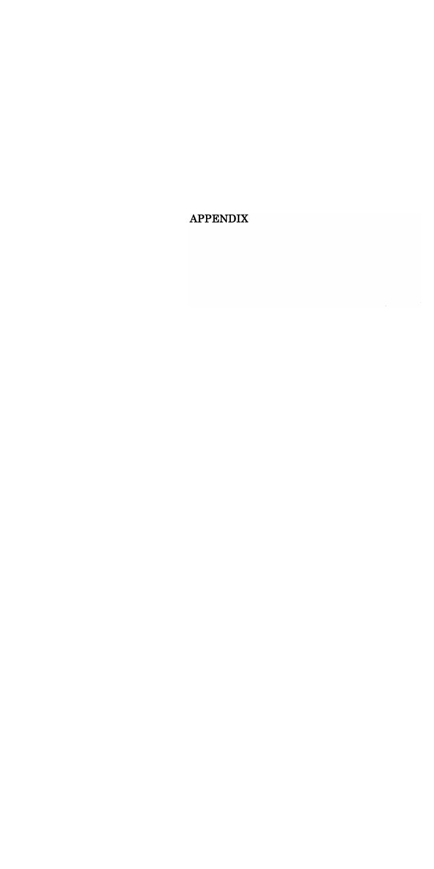**APPENDIX**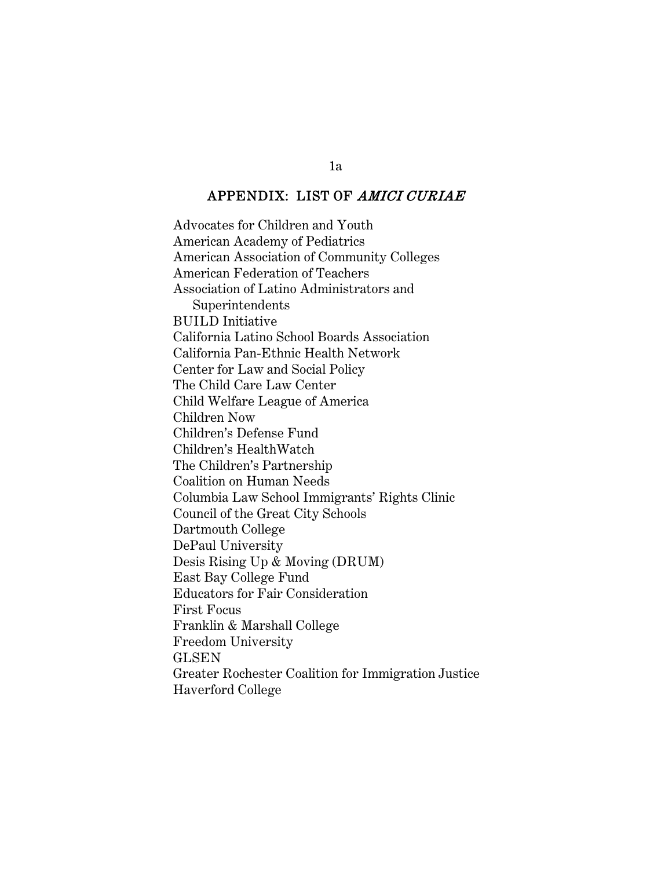## APPENDIX: LIST OF AMICI CURIAE

Advocates for Children and Youth American Academy of Pediatrics American Association of Community Colleges American Federation of Teachers Association of Latino Administrators and Superintendents BUILD Initiative California Latino School Boards Association California Pan-Ethnic Health Network Center for Law and Social Policy The Child Care Law Center Child Welfare League of America Children Now Children's Defense Fund Children's HealthWatch The Children's Partnership Coalition on Human Needs Columbia Law School Immigrants' Rights Clinic Council of the Great City Schools Dartmouth College DePaul University Desis Rising Up & Moving (DRUM) East Bay College Fund Educators for Fair Consideration First Focus Franklin & Marshall College Freedom University GLSEN Greater Rochester Coalition for Immigration Justice Haverford College

1a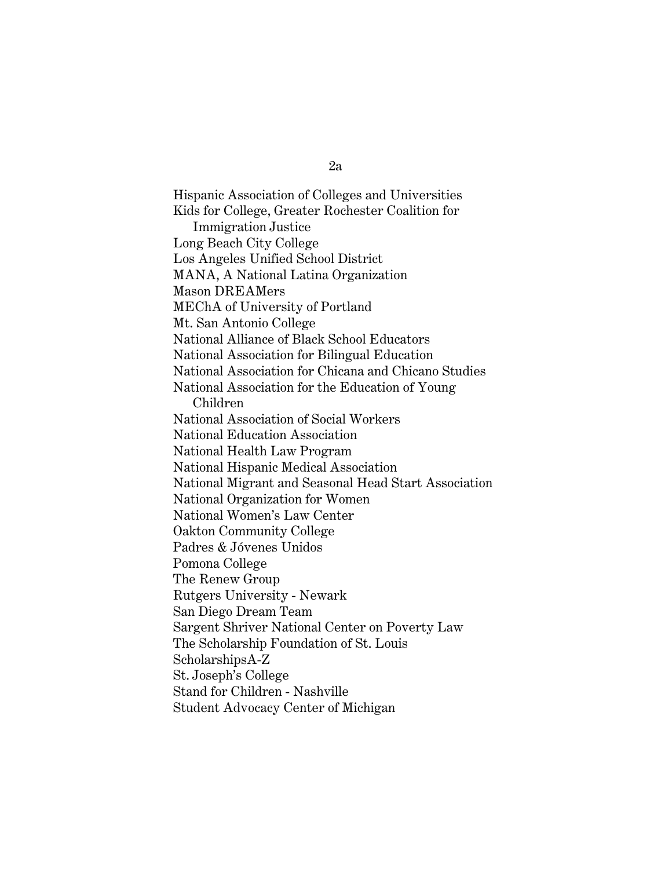Hispanic Association of Colleges and Universities Kids for College, Greater Rochester Coalition for Immigration Justice Long Beach City College Los Angeles Unified School District MANA, A National Latina Organization Mason DREAMers MEChA of University of Portland Mt. San Antonio College National Alliance of Black School Educators National Association for Bilingual Education National Association for Chicana and Chicano Studies National Association for the Education of Young Children National Association of Social Workers National Education Association National Health Law Program National Hispanic Medical Association National Migrant and Seasonal Head Start Association National Organization for Women National Women's Law Center Oakton Community College Padres & Jóvenes Unidos Pomona College The Renew Group Rutgers University - Newark San Diego Dream Team Sargent Shriver National Center on Poverty Law The Scholarship Foundation of St. Louis ScholarshipsA-Z St. Joseph's College Stand for Children - Nashville Student Advocacy Center of Michigan

2a